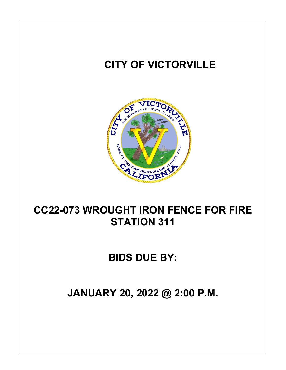

**BIDS DUE BY:**

**JANUARY 20, 2022 @ 2:00 P.M.**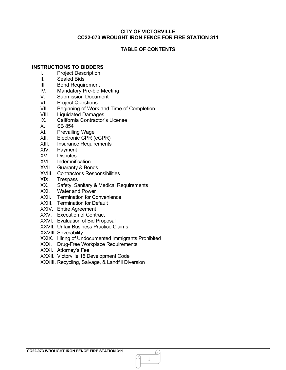# **TABLE OF CONTENTS**

# **INSTRUCTIONS TO BIDDERS**

- I. Project Description
- II. Sealed Bids<br>III. Bond Requir
- Bond Requirement
- IV. Mandatory Pre-bid Meeting
- V. Submission Document
- VI. Project Questions
- VII. Beginning of Work and Time of Completion<br>VIII. Liquidated Damages
- VIII. Liquidated Damages<br>IX. California Contractor
- California Contractor's License
- X. SB 854
- XI. Prevailing Wage
- XII. Electronic CPR (eCPR)
- XIII. Insurance Requirements
- XIV. Payment
- XV. Disputes
- XVI. Indemnification
- XVII. Guaranty & Bonds
- XVIII. Contractor's Responsibilities<br>XIX. Trespass
- **Trespass**
- XX. Safety, Sanitary & Medical Requirements
- XXI. Water and Power
- XXII. Termination for Convenience
- XXIII. Termination for Default
- XXIV. Entire Agreement
- XXV. Execution of Contract
- XXVI. Evaluation of Bid Proposal
- XXVII. Unfair Business Practice Claims
- XXVIII. Severability
- XXIX. Hiring of Undocumented Immigrants Prohibited
- XXX. Drug-Free Workplace Requirements
- XXXI. Attorney's Fee
- XXXII. Victorville 15 Development Code
- XXXIII. Recycling, Salvage, & Landfill Diversion

1

.N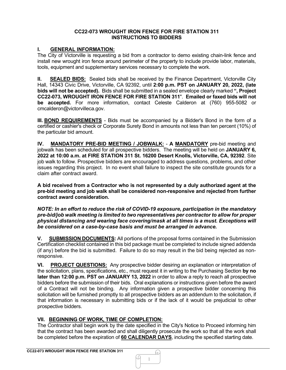## **CC22-073 WROUGHT IRON FENCE FOR FIRE STATION 311 INSTRUCTIONS TO BIDDERS**

# **I. GENERAL INFORMATION:**

The City of Victorville is requesting a bid from a contractor to demo existing chain-link fence and install new wrought iron fence around perimeter of the property to include provide labor, materials, tools, equipment and supplementary services necessary to complete the work.

**II. SEALED BIDS:** Sealed bids shall be received by the Finance Department, Victorville City Hall, 14343 Civic Drive, Victorville, CA 92392, until **2:00 p.m. PST on JANUARY 20, 2022, (late bids will not be accepted).** Bids shall be submitted in a sealed envelope clearly marked **", Project CC22-073, WROUGHT IRON FENCE FOR FIRE STATION 311**". **Emailed or faxed bids will not be accepted.** For more information, contact Celeste Calderon at (760) 955-5082 or [cmcalderon@victorvilleca.gov.](mailto:cmcalderon@victorvilleca.gov)

**III. BOND REQUIREMENTS** - Bids must be accompanied by a Bidder's Bond in the form of a certified or cashier's check or Corporate Surety Bond in amounts not less than ten percent (10%) of the particular bid amount.

**IV. MANDATORY PRE-BID MEETING / JOBWALK:** - **A MANDATORY** pre-bid meeting and jobwalk has been scheduled for all prospective bidders. The meeting will be held on **JANUARY 6, 2022 at 10:00 a.m. at FIRE STATION 311 St. 16200 Desert Knolls, Victorville, CA, 92392**. Site job walk to follow. Prospective bidders are encouraged to address questions, problems, and other issues regarding this project. In no event shall failure to inspect the site constitute grounds for a claim after contract award.

**A bid received from a Contractor who is not represented by a duly authorized agent at the pre-bid meeting and job walk shall be considered non-responsive and rejected from further contract award consideration.** 

*NOTE: In an effort to reduce the risk of COVID-19 exposure, participation in the mandatory pre-bid/job walk meeting is limited to two representatives per contractor to allow for proper physical distancing and wearing face covering/mask at all times is a must. Exceptions will be considered on a case-by-case basis and must be arranged in advance.*

**V. SUBMISSION DOCUMENTS:** All portions of the proposal forms contained in the Submission Certification checklist contained in this bid package must be completed to include signed addenda (if any) before the bid is submitted. Failure to do so may result in the bid being rejected as nonresponsive.

**VI. PROJECT QUESTIONS:** Any prospective bidder desiring an explanation or interpretation of the solicitation, plans, specifications, etc., must request it in writing to the Purchasing Section **by no later than 12:00 p.m. PST on JANUARY 13, 2022** in order to allow a reply to reach all prospective bidders before the submission of their bids. Oral explanations or instructions given before the award of a Contract will not be binding. Any information given a prospective bidder concerning this solicitation will be furnished promptly to all prospective bidders as an addendum to the solicitation, if that information is necessary in submitting bids or if the lack of it would be prejudicial to other prospective bidders.

# **VII. BEGINNING OF WORK, TIME OF COMPLETION:**

The Contractor shall begin work by the date specified in the City's Notice to Proceed informing him that the contract has been awarded and shall diligently prosecute the work so that all the work shall be completed before the expiration of **60 CALENDAR DAYS**, including the specified starting date.

h. ᠕ 1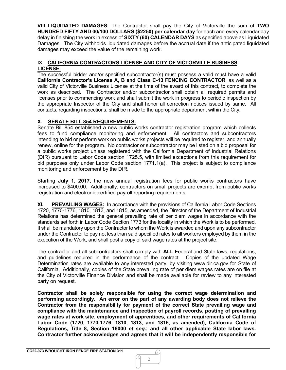**VIII. LIQUIDATED DAMAGES:** The Contractor shall pay the City of Victorville the sum of **TWO HUNDRED FIFTY AND 00/100 DOLLARS (\$2250) per calendar day** for each and every calendar day delay in finishing the work in excess of **SIXTY (60) CALENDAR DAYS** as specified above as Liquidated Damages. The City withholds liquidated damages before the accrual date if the anticipated liquidated damages may exceed the value of the remaining work.

# **IX. CALIFORNIA CONTRACTORS LICENSE AND CITY OF VICTORVILLE BUSINESS LICENSE:**

The successful bidder and/or specified subcontractor(s) must possess a valid must have a valid **California Contractor's License A, B and Class C-13 FENCING CONTRACTOR**, as well as a valid City of Victorville Business License at the time of the award of this contract, to complete the work as described. The Contractor and/or subcontractor shall obtain all required permits and licenses prior to commencing work and shall submit the work in progress to periodic inspection by the appropriate Inspector of the City and shall honor all correction notices issued by same. All contacts, regarding inspections, shall be made to the appropriate department within the City.

# **X. SENATE BILL 854 REQUIREMENTS:**

Senate Bill 854 established a new public works contractor registration program which collects fees to fund compliance monitoring and enforcement. All contractors and subcontractors intending to bid or perform work on public works projects will be required to register, and annually renew, online for the program. No contractor or subcontractor may be listed on a bid proposal for a public works project unless registered with the California Department of Industrial Relations (DIR) pursuant to Labor Code section 1725.5, with limited exceptions from this requirement for bid purposes only under Labor Code section 1771.1(a). This project is subject to compliance monitoring and enforcement by the DIR.

Starting **July 1, 2017,** the new annual registration fees for public works contractors have increased to \$400.00. Additionally, contractors on small projects are exempt from public works registration and electronic certified payroll reporting requirements.

**XI. PREVAILING WAGES:** In accordance with the provisions of California Labor Code Sections 1720, 1770-1776, 1810, 1813, and 1815, as amended, the Director of the Department of Industrial Relations has determined the general prevailing rate of per diem wages in accordance with the standards set forth in Labor Code Section 1773 for the locality in which the Work is to be performed. It shall be mandatory upon the Contractor to whom the Work is awarded and upon any subcontractor under the Contractor to pay not less than said specified rates to all workers employed by them in the execution of the Work, and shall post a copy of said wage rates at the project site.

The contractor and all subcontractors shall comply with **ALL** Federal and State laws, regulations, and guidelines required in the performance of the contract. Copies of the updated Wage Determination rates are available to any interested party, by visiting [www.dir.ca.gov](http://www.dir.ca.gov/) for State of California. Additionally, copies of the State prevailing rate of per diem wages rates are on file at the City of Victorville Finance Division and shall be made available for review to any interested party on request.

**Contractor shall be solely responsible for using the correct wage determination and performing accordingly. An error on the part of any awarding body does not relieve the Contractor from the responsibility for payment of the correct State prevailing wage and compliance with the maintenance and inspection of payroll records, posting of prevailing wage rates at work site, employment of apprentices, and other requirements of California Labor Code (1720, 1770-1776, 1810, 1813, and 1815, as amended), California Code of Regulations, Title 8, Section 16000** *et seq***.; and all other applicable State labor laws. Contractor further acknowledges and agrees that it will be independently responsible for**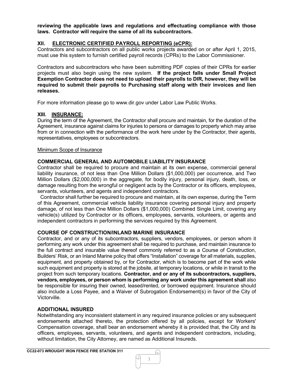**reviewing the applicable laws and regulations and effectuating compliance with those laws. Contractor will require the same of all its subcontractors.**

# **XII. ELECTRONIC CERTIFIED PAYROLL REPORTING (eCPR):**

Contractors and subcontractors on all public works projects awarded on or after April 1, 2015, must use this system to furnish certified payroll records (CPRs) to the Labor Commissioner.

Contractors and subcontractors who have been submitting PDF copies of their CPRs for earlier projects must also begin using the new system. **If the project falls under Small Project Exemption Contractor does not need to upload their payrolls to DIR, however, they will be required to submit their payrolls to Purchasing staff along with their invoices and lien releases.**

For more information please go to www.dir.gov under Labor Law Public Works.

#### **XIII. INSURANCE:**

During the term of the Agreement, the Contractor shall procure and maintain, for the duration of the Agreement, insurance against claims for injuries to persons or damages to property which may arise from or in connection with the performance of the work here under by the Contractor, their agents, representatives, employees or subcontractors.

#### Minimum Scope of Insurance

#### **COMMERCIAL GENERAL AND AUTOMOBILE LIABILITY INSURANCE**

Contractor shall be required to procure and maintain at its own expense, commercial general liability insurance, of not less than One Million Dollars (\$1,000,000) per occurrence, and Two Million Dollars (\$2,000,000) in the aggregate, for bodily injury, personal injury, death, loss, or damage resulting from the wrongful or negligent acts by the Contractor or its officers, employees, servants, volunteers, and agents and independent contractors.

 Contractor shall further be required to procure and maintain, at its own expense, during the Term of this Agreement, commercial vehicle liability insurance covering personal injury and property damage, of not less than One Million Dollars (\$1,000,000) Combined Single Limit, covering any vehicle(s) utilized by Contractor or its officers, employees, servants, volunteers, or agents and independent contractors in performing the services required by this Agreement.

#### **COURSE OF CONSTRUCTION/INLAND MARINE INSURANCE**

Contractor, and or any of its subcontractors, suppliers, vendors, employees, or person whom it performing any work under this agreement shall be required to purchase, and maintain insurance to the full contract and insurable value thereof commonly referred to as a Course of Construction, Builders' Risk, or an Inland Marine policy that offers "Installation" coverage for all materials, supplies, equipment, and property obtained by, or for Contractor, which is to become part of the work while such equipment and property is stored at the jobsite, at temporary locations, or while in transit to the project from such temporary locations. **Contractor, and or any of its subcontractors, suppliers, vendors, employees, or person whom is performing any work under this agreement shall** also be responsible for insuring their owned, leased/rented, or borrowed equipment. Insurance should also include a Loss Payee, and a Waiver of Subrogation Endorsement(s) in favor of the City of Victorville.

# **ADDITIONAL INSURED**

Notwithstanding any inconsistent statement in any required insurance policies or any subsequent endorsements attached thereto, the protection offered by all policies, except for Workers' Compensation coverage, shall bear an endorsement whereby it is provided that, the City and its officers, employees, servants, volunteers, and agents and independent contractors, including, without limitation, the City Attorney, are named as Additional Insureds.

3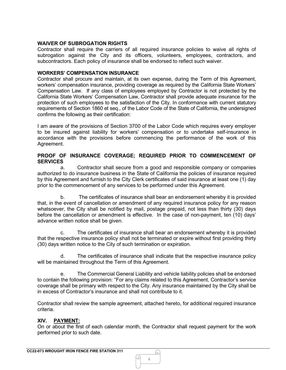# **WAIVER OF SUBROGATION RIGHTS**

Contractor shall require the carriers of all required insurance policies to waive all rights of subrogation against the City and its officers, volunteers, employees, contractors, and subcontractors. Each policy of insurance shall be endorsed to reflect such waiver.

# **WORKERS' COMPENSATION INSURANCE**

Contractor shall procure and maintain, at its own expense, during the Term of this Agreement, workers' compensation insurance, providing coverage as required by the California State Workers' Compensation Law. If any class of employees employed by Contractor is not protected by the California State Workers' Compensation Law, Contractor shall provide adequate insurance for the protection of such employees to the satisfaction of the City. In conformance with current statutory requirements of Section 1860 et seq., of the Labor Code of the State of California, the undersigned confirms the following as their certification:

I am aware of the provisions of Section 3700 of the Labor Code which requires every employer to be insured against liability for workers' compensation or to undertake self-insurance in accordance with the provisions before commencing the performance of the work of this Agreement.

# **PROOF OF INSURANCE COVERAGE; REQUIRED PRIOR TO COMMENCEMENT OF SERVICES**

a. Contractor shall secure from a good and responsible company or companies authorized to do insurance business in the State of California the policies of insurance required by this Agreement and furnish to the City Clerk certificates of said insurance at least one (1) day prior to the commencement of any services to be performed under this Agreement.

b. The certificates of insurance shall bear an endorsement whereby it is provided that, in the event of cancellation or amendment of any required insurance policy for any reason whatsoever, the City shall be notified by mail, postage prepaid, not less than thirty (30) days before the cancellation or amendment is effective. In the case of non-payment, ten (10) days' advance written notice shall be given.

c. The certificates of insurance shall bear an endorsement whereby it is provided that the respective insurance policy shall not be terminated or expire without first providing thirty (30) days written notice to the City of such termination or expiration.

d. The certificates of insurance shall indicate that the respective insurance policy will be maintained throughout the Term of this Agreement.

e. The Commercial General Liability and vehicle liability policies shall be endorsed to contain the following provision: "For any claims related to this Agreement, Contractor's service coverage shall be primary with respect to the City. Any insurance maintained by the City shall be in excess of Contractor's insurance and shall not contribute to it.

Contractor shall review the sample agreement, attached hereto, for additional required insurance criteria.

# **XIV. PAYMENT:**

On or about the first of each calendar month, the Contractor shall request payment for the work performed prior to such date.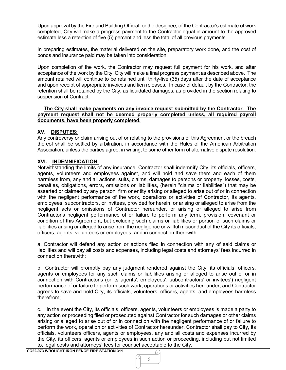Upon approval by the Fire and Building Official, or the designee, of the Contractor's estimate of work completed, City will make a progress payment to the Contractor equal in amount to the approved estimate less a retention of five (5) percent and less the total of all previous payments.

In preparing estimates, the material delivered on the site, preparatory work done, and the cost of bonds and insurance paid may be taken into consideration.

Upon completion of the work, the Contractor may request full payment for his work, and after acceptance of the work by the City, City will make a final progress payment as described above. The amount retained will continue to be retained until thirty-five (35) days after the date of acceptance and upon receipt of appropriate invoices and lien releases. In case of default by the Contractor, the retention shall be retained by the City, as liquidated damages, as provided in the section relating to suspension of Contract.

#### **The City shall make payments on any invoice request submitted by the Contractor. The payment request shall not be deemed properly completed unless, all required payroll documents, have been properly completed.**

# **XV. DISPUTES:**

Any controversy or claim arising out of or relating to the provisions of this Agreement or the breach thereof shall be settled by arbitration, in accordance with the Rules of the American Arbitration Association, unless the parties agree, in writing, to some other form of alternative dispute resolution.

# **XVI. INDEMNIFICATION:**

Notwithstanding the limits of any insurance, Contractor shall indemnify City, its officials, officers, agents, volunteers and employees against, and will hold and save them and each of them harmless from, any and all actions, suits, claims, damages to persons or property, losses, costs, penalties, obligations, errors, omissions or liabilities, (herein "claims or liabilities") that may be asserted or claimed by any person, firm or entity arising or alleged to arise out of or in connection with the negligent performance of the work, operations or activities of Contractor, its agents, employees, subcontractors, or invitees, provided for herein, or arising or alleged to arise from the negligent acts or omissions of Contractor hereunder, or arising or alleged to arise from Contractor's negligent performance of or failure to perform any term, provision, covenant or condition of this Agreement, but excluding such claims or liabilities or portion of such claims or liabilities arising or alleged to arise from the negligence or willful misconduct of the City its officials, officers, agents, volunteers or employees, and in connection therewith:

a. Contractor will defend any action or actions filed in connection with any of said claims or liabilities and will pay all costs and expenses, including legal costs and attorneys' fees incurred in connection therewith;

b. Contractor will promptly pay any judgment rendered against the City, its officials, officers, agents or employees for any such claims or liabilities arising or alleged to arise out of or in connection with Contractor's (or its agents', employees', subcontractors' or invitees') negligent performance of or failure to perform such work, operations or activities hereunder; and Contractor agrees to save and hold City, its officials, volunteers, officers, agents, and employees harmless therefrom;

c. In the event the City, its officials, officers, agents, volunteers or employees is made a party to any action or proceeding filed or prosecuted against Contractor for such damages or other claims arising or alleged to arise out of or in connection with the negligent performance of or failure to perform the work, operation or activities of Contractor hereunder, Contractor shall pay to City, its officials, volunteers officers, agents or employees, any and all costs and expenses incurred by the City, its officers, agents or employees in such action or proceeding, including but not limited to, legal costs and attorneys' fees for counsel acceptable to the City.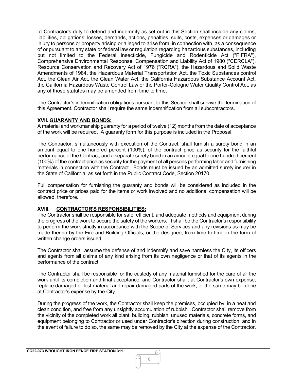d.Contractor's duty to defend and indemnify as set out in this Section shall include any claims, liabilities, obligations, losses, demands, actions, penalties, suits, costs, expenses or damages or injury to persons or property arising or alleged to arise from, in connection with, as a consequence of or pursuant to any state or federal law or regulation regarding hazardous substances, including but not limited to the Federal Insecticide, Fungicide and Rodenticide Act ("FIFRA"), Comprehensive Environmental Response, Compensation and Liability Act of 1980 ("CERCLA"), Resource Conservation and Recovery Act of 1976 ("RCRA"), the Hazardous and Solid Waste Amendments of 1984, the Hazardous Material Transportation Act, the Toxic Substances control Act, the Clean Air Act, the Clean Water Act, the California Hazardous Substance Account Act, the California Hazardous Waste Control Law or the Porter-Cologne Water Quality Control Act, as any of those statutes may be amended from time to time.

The Contractor's indemnification obligations pursuant to this Section shall survive the termination of this Agreement. Contractor shall require the same indemnification from all subcontractors.

#### **XVII. GUARANTY AND BONDS:**

A material and workmanship guaranty for a period of twelve (12) months from the date of acceptance of the work will be required. A guaranty form for this purpose is included in the Proposal.

The Contractor, simultaneously with execution of the Contract, shall furnish a surety bond in an amount equal to one hundred percent (100%), of the contract price as security for the faithful performance of the Contract, and a separate surety bond in an amount equal to one hundred percent (100%) of the contract price as security for the payment of all persons performing labor and furnishing materials in connection with the Contract. Bonds must be issued by an admitted surety insurer in the State of California, as set forth in the Public Contract Code, Section 20170.

Full compensation for furnishing the guaranty and bonds will be considered as included in the contract price or prices paid for the items or work involved and no additional compensation will be allowed, therefore.

# **XVIII. CONTRACTOR'S RESPONSIBILITIES:**

The Contractor shall be responsible for safe, efficient, and adequate methods and equipment during the progress of the work to secure the safety of the workers. It shall be the Contractor's responsibility to perform the work strictly in accordance with the Scope of Services and any revisions as may be made therein by the Fire and Building Officials, or the designee, from time to time in the form of written change orders issued.

The Contractor shall assume the defense of and indemnify and save harmless the City, its officers and agents from all claims of any kind arising from its own negligence or that of its agents in the performance of the contract.

The Contractor shall be responsible for the custody of any material furnished for the care of all the work until its completion and final acceptance, and Contractor shall, at Contractor's own expense, replace damaged or lost material and repair damaged parts of the work, or the same may be done at Contractor's expense by the City.

During the progress of the work, the Contractor shall keep the premises, occupied by, in a neat and clean condition, and free from any unsightly accumulation of rubbish. Contractor shall remove from the vicinity of the completed work all plant, building, rubbish, unused materials, concrete forms, and equipment belonging to Contractor or used under Contractor's direction during construction, and in the event of failure to do so, the same may be removed by the City at the expense of the Contractor.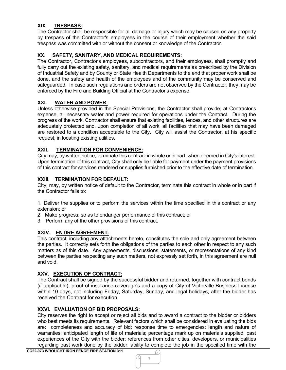# **XIX. TRESPASS:**

The Contractor shall be responsible for all damage or injury which may be caused on any property by trespass of the Contractor's employees in the course of their employment whether the said trespass was committed with or without the consent or knowledge of the Contractor.

# **XX. SAFETY, SANITARY, AND MEDICAL REQUIREMENTS:**

The Contractor, Contractor's employees, subcontractors, and their employees, shall promptly and fully carry out the existing safety, sanitary, and medical requirements as prescribed by the Division of Industrial Safety and by County or State Health Departments to the end that proper work shall be done, and the safety and health of the employees and of the community may be conserved and safeguarded. In case such regulations and orders are not observed by the Contractor, they may be enforced by the Fire and Building Official at the Contractor's expense.

# **XXI. WATER AND POWER:**

Unless otherwise provided in the Special Provisions, the Contractor shall provide, at Contractor's expense, all necessary water and power required for operations under the Contract. During the progress of the work, Contractor shall ensure that existing facilities, fences, and other structures are adequately protected and, upon completion of all work, all facilities that may have been damaged are restored to a condition acceptable to the City. City will assist the Contractor, at his specific request, in locating existing utilities.

# **XXII. TERMINATION FOR CONVENIENCE:**

City may, by written notice, terminate this contract in whole or in part, when deemed in City's interest. Upon termination of this contract, City shall only be liable for payment under the payment provisions of this contract for services rendered or supplies furnished prior to the effective date of termination.

# **XXIII. TERMINATION FOR DEFAULT:**

City, may, by written notice of default to the Contractor, terminate this contract in whole or in part if the Contractor fails to:

1. Deliver the supplies or to perform the services within the time specified in this contract or any extension; or

- 2. Make progress, so as to endanger performance of this contract; or
- 3. Perform any of the other provisions of this contract.

# **XXIV. ENTIRE AGREEMENT:**

This contract, including any attachments hereto, constitutes the sole and only agreement between the parties. It correctly sets forth the obligations of the parties to each other in respect to any such matters as of this date. Any agreements, discussions, statements, or representations of any kind between the parties respecting any such matters, not expressly set forth, in this agreement are null and void.

# **XXV. EXECUTION OF CONTRACT:**

The Contract shall be signed by the successful bidder and returned, together with contract bonds (if applicable), proof of insurance coverage's and a copy of City of Victorville Business License within 10 days, not including Friday, Saturday, Sunday, and legal holidays, after the bidder has received the Contract for execution.

# **XXVI. EVALUATION OF BID PROPOSALS:**

City reserves the right to accept or reject all bids and to award a contract to the bidder or bidders who best meets its requirements. Relevant factors which shall be considered in evaluating the bids are: completeness and accuracy of bid; response time to emergencies; length and nature of warranties; anticipated length of life of materials; percentage mark up on materials supplied; past experiences of the City with the bidder; references from other cities, developers, or municipalities regarding past work done by the bidder; ability to complete the job in the specified time with the

7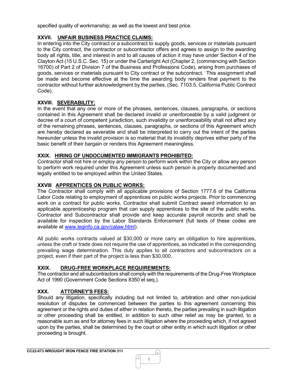specified quality of workmanship; as well as the lowest and best price.

# **XXVII. UNFAIR BUSINESS PRACTICE CLAIMS:**

In entering into the City contract or a subcontract to supply goods, services or materials pursuant to the City contract, the contractor or subcontractor offers and agrees to assign to the awarding body all rights, title, and interest in and to all causes of action it may have under Section 4 of the Clayton Act (15 U.S.C. Sec. 15) or under the Cartwright Act (Chapter 2, (commencing with Section 16700) of Part 2 of Division 7 of the Business and Professions Code), arising from purchases of goods, services or materials pursuant to City contract or the subcontract. This assignment shall be made and become effective at the time the awarding body renders final payment to the contractor without further acknowledgment by the parties. (Sec. 7103.5, California Public Contract Code).

# **XXVIII. SEVERABILITY:**

In the event that any one or more of the phrases, sentences, clauses, paragraphs, or sections contained in this Agreement shall be declared invalid or unenforceable by a valid judgment or decree of a court of competent jurisdiction, such invalidity or unenforceability shall not affect any of the remaining phrases, sentences, clauses, paragraphs, or sections of this Agreement which are hereby declared as severable and shall be interpreted to carry out the intent of the parties hereunder unless the invalid provision is so material that its invalidity deprives either party of the basic benefit of their bargain or renders this Agreement meaningless.

# **XXIX. HIRING OF UNDOCUMENTED IMMIGRANTS PROHIBITED:**

Contractor shall not hire or employ any person to perform work within the City or allow any person to perform work required under this Agreement unless such person is properly documented and legally entitled to be employed within the United States.

# **XXVIII APPRENTICES ON PUBLIC WORKS:**

The Contractor shall comply with all applicable provisions of Section 1777.6 of the California Labor Code relating to employment of apprentices on public works projects. Prior to commencing work on a contract for public works, Contractor shall submit Contract award information to an applicable apprenticeship program that can supply apprentices to the site of the public works. Contractor and Subcontractor shall provide and keep accurate payroll records and shall be available for inspection by the Labor Standards Enforcement (full texts of these codes are available at [www.leginfo.ca.gov/calaw.html\)](http://www.leginfo.ca.gov/calaw.html).

All public works contracts valued at \$30,000 or more carry an obligation to hire apprentices, unless the craft or trade does not require the use of apprentices, as indicated in the corresponding prevailing wage determination. This duty applies to all contractors and subcontractors on a project, even if their part of the project is less than \$30,000.

# **XXIX. DRUG-FREE WORKPLACE REQUIREMENTS:**

The contractor and all subcontractors shall comply with the requirements of the Drug-Free Workplace Act of 1990 (Government Code Sections 8350 et seq.).

# **XXX. ATTORNEY'S FEES:**

Should any litigation, specifically including but not limited to, arbitration and other non-judicial resolution of disputes be commenced between the parties to this agreement concerning this agreement or the rights and duties of either in relation thereto, the parties prevailing in such litigation or other proceeding shall be entitled, in addition to such other relief as may be granted, to a reasonable sum as and for attorney fees in such litigation where the proceeding which, if not agreed upon by the parties, shall be determined by the court or other entity in which such litigation or other proceeding is brought.

.N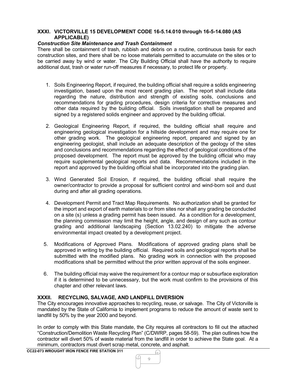# **XXXI. VICTORVILLE 15 DEVELOPMENT CODE 16-5.14.010 through 16-5-14.080 (AS APPLICABLE)**

# *Construction Site Maintenance and Trash Containment*

There shall be containment of trash, rubbish and debris on a routine, continuous basis for each construction sites, and there shall be no loose materials permitted to accumulate on the sites or to be carried away by wind or water. The City Building Official shall have the authority to require additional dust, trash or water run-off measures if necessary, to protect life or property.

- 1. Soils Engineering Report, if required, the building official shall require a solids engineering investigation, based upon the most recent grading plan. The report shall include data regarding the nature, distribution and strength of existing soils, conclusions and recommendations for grading procedures, design criteria for corrective measures and other data required by the building official. Soils investigation shall be prepared and signed by a registered solids engineer and approved by the building official.
- 2. Geological Engineering Report, if required, the building official shall require and engineering geological investigation for a hillside development and may require one for other grading work. The geological engineering report, prepared and signed by an engineering geologist, shall include an adequate description of the geology of the sites and conclusions and recommendations regarding the effect of geological conditions of the proposed development. The report must be approved by the building official who may require supplemental geological reports and data. Recommendations included in the report and approved by the building official shall be incorporated into the grading plan.
- 3. Wind Generated Soil Erosion, if required, the building official shall require the owner/contractor to provide a proposal for sufficient control and wind-born soil and dust during and after all grading operations.
- 4. Development Permit and Tract Map Requirements. No authorization shall be granted for the import and export of earth materials to or from sites nor shall any grading be conducted on a site (s) unless a grading permit has been issued. As a condition for a development, the planning commission may limit the height, angle, and design of any such as contour grading and additional landscaping (Section 13.02.240) to mitigate the adverse environmental impact created by a development project.
- 5. Modifications of Approved Plans. Modifications of approved grading plans shall be approved in writing by the building official. Required soils and geological reports shall be submitted with the modified plans. No grading work in connection with the proposed modifications shall be permitted without the prior written approval of the soils engineer.
- 6. The building official may waive the requirement for a contour map or subsurface exploration if it is determined to be unnecessary, but the work must confirm to the provisions of this chapter and other relevant laws.

# **XXXII. RECYCLING, SALVAGE, AND LANDFILL DIVERSION**

The City encourages innovative approaches to recycling, reuse, or salvage. The City of Victorville is mandated by the State of California to implement programs to reduce the amount of waste sent to landfill by 50% by the year 2000 and beyond.

In order to comply with this State mandate, the City requires all contractors to fill out the attached "Construction/Demolition Waste Recycling Plan" (C/DWRP, pages 58-59). The plan outlines how the contractor will divert 50% of waste material from the landfill in order to achieve the State goal. At a minimum, contractors must divert scrap metal, concrete, and asphalt.

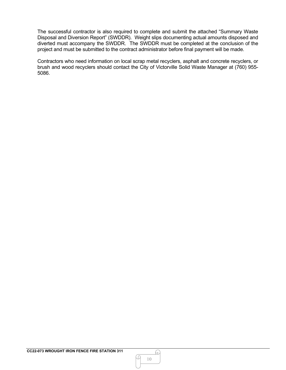The successful contractor is also required to complete and submit the attached "Summary Waste Disposal and Diversion Report" (SWDDR). Weight slips documenting actual amounts disposed and diverted must accompany the SWDDR. The SWDDR must be completed at the conclusion of the project and must be submitted to the contract administrator before final payment will be made.

Contractors who need information on local scrap metal recyclers, asphalt and concrete recyclers, or brush and wood recyclers should contact the City of Victorville Solid Waste Manager at (760) 955- 5086.

.N

Q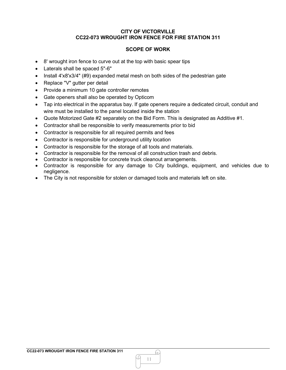# **SCOPE OF WORK**

- 8' wrought iron fence to curve out at the top with basic spear tips
- Laterals shall be spaced 5"-6"
- Install 4'x8'x3/4" (#9) expanded metal mesh on both sides of the pedestrian gate
- Replace "V" gutter per detail
- Provide a minimum 10 gate controller remotes
- Gate openers shall also be operated by Opticom
- Tap into electrical in the apparatus bay. If gate openers require a dedicated circuit, conduit and wire must be installed to the panel located inside the station
- Quote Motorized Gate #2 separately on the Bid Form. This is designated as Additive #1.
- Contractor shall be responsible to verify measurements prior to bid
- Contractor is responsible for all required permits and fees
- Contractor is responsible for underground utility location
- Contractor is responsible for the storage of all tools and materials.
- Contractor is responsible for the removal of all construction trash and debris.
- Contractor is responsible for concrete truck cleanout arrangements.
- Contractor is responsible for any damage to City buildings, equipment, and vehicles due to negligence.
- The City is not responsible for stolen or damaged tools and materials left on site.

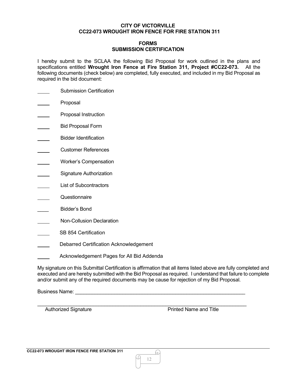# **FORMS SUBMISSION CERTIFICATION**

I hereby submit to the SCLAA the following Bid Proposal for work outlined in the plans and specifications entitled **Wrought Iron Fence at Fire Station 311, Project #CC22-073.** All the following documents (check below) are completed, fully executed, and included in my Bid Proposal as required in the bid document:

- Submission Certification
- Proposal
- Proposal Instruction
- Bid Proposal Form
- Bidder Identification
- Customer References
- Worker's Compensation
- Signature Authorization
- List of Subcontractors
- **Questionnaire**
- \_\_\_\_ Bidder's Bond
- Non-Collusion Declaration
- SB 854 Certification
- Debarred Certification Acknowledgement
- Acknowledgement Pages for All Bid Addenda

My signature on this Submittal Certification is affirmation that all items listed above are fully completed and executed and are hereby submitted with the Bid Proposal as required. I understand that failure to complete and/or submit any of the required documents may be cause for rejection of my Bid Proposal.

Business Name: \_\_\_\_\_\_\_\_\_\_\_\_\_\_\_\_\_\_\_\_\_\_\_\_\_\_\_\_\_\_\_\_\_\_\_\_\_\_\_\_\_\_\_\_\_\_\_\_\_\_\_\_\_\_\_\_\_\_\_\_\_

Authorized Signature **Authorized Signature Printed Name and Title** 

h)

\_\_\_\_\_\_\_\_\_\_\_\_\_\_\_\_\_\_\_\_\_\_\_\_\_\_\_\_\_\_\_\_\_\_\_\_\_\_\_\_\_\_\_\_\_\_\_\_\_\_\_\_\_\_\_\_\_\_\_\_\_\_\_\_\_\_\_\_\_\_\_\_\_\_\_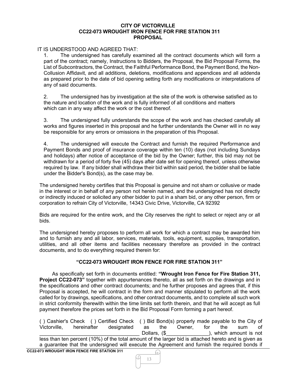### IT IS UNDERSTOOD AND AGREED THAT:

1. The undersigned has carefully examined all the contract documents which will form a part of the contract; namely, Instructions to Bidders, the Proposal, the Bid Proposal Forms, the List of Subcontractors, the Contract, the Faithful Performance Bond, the Payment Bond, the Non-Collusion Affidavit, and all additions, deletions, modifications and appendices and all addenda as prepared prior to the date of bid opening setting forth any modifications or interpretations of any of said documents.

2. The undersigned has by investigation at the site of the work is otherwise satisfied as to the nature and location of the work and is fully informed of all conditions and matters which can in any way affect the work or the cost thereof.

3. The undersigned fully understands the scope of the work and has checked carefully all works and figures inserted in this proposal and he further understands the Owner will in no way be responsible for any errors or omissions in the preparation of this Proposal.

4. The undersigned will execute the Contract and furnish the required Performance and Payment Bonds and proof of insurance coverage within ten (10) days (not including Sundays and holidays) after notice of acceptance of the bid by the Owner; further, this bid may not be withdrawn for a period of forty five (45) days after date set for opening thereof, unless otherwise required by law. If any bidder shall withdraw their bid within said period, the bidder shall be liable under the Bidder's Bond(s), as the case may be.

The undersigned hereby certifies that this Proposal is genuine and not sham or collusive or made in the interest or in behalf of any person not herein named, and the undersigned has not directly or indirectly induced or solicited any other bidder to put in a sham bid, or any other person, firm or corporation to refrain City of Victorville, 14343 Civic Drive, Victorville, CA 92392

Bids are required for the entire work, and the City reserves the right to select or reject any or all bids.

The undersigned hereby proposes to perform all work for which a contract may be awarded him and to furnish any and all labor, services, materials, tools, equipment, supplies, transportation, utilities, and all other items and facilities necessary therefore as provided in the contract documents, and to do everything required therein for:

# **"CC22-073 WROUGHT IRON FENCE FOR FIRE STATION 311"**

As specifically set forth in documents entitled: **"Wrought Iron Fence for Fire Station 311, Project CC22-073"** together with appurtenances thereto, all as set forth on the drawings and in the specifications and other contract documents; and he further proposes and agrees that, if this Proposal is accepted, he will contract in the form and manner stipulated to perform all the work called for by drawings, specifications, and other contract documents, and to complete all such work in strict conformity therewith within the time limits set forth therein, and that he will accept as full payment therefore the prices set forth in the Bid Proposal Form forming a part hereof.

**CC22-073 WROUGHT IRON FENCE FIRE STATION 311** ( ) Cashier's Check ( ) Certified Check ( ) Bid Bond(s) properly made payable to the City of Victorville. In hereinafter designated as the Owner. If for the sum of hereinafter designated as the Owner, for the sum of<br>Dollars, (\$) Dollars, (\$) bollars, (\$) beich amount is not ), which amount is not less than ten percent (10%) of the total amount of the larger bid is attached hereto and is given as a guarantee that the undersigned will execute the Agreement and furnish the required bonds if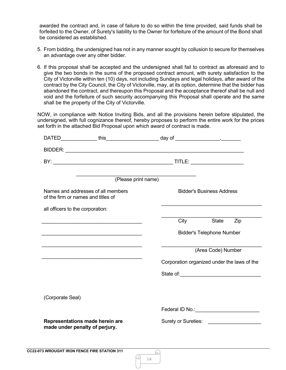awarded the contract and, in case of failure to do so within the time provided, said funds shall be forfeited to the Owner, of Surety's liability to the Owner for forfeiture of the amount of the Bond shall be considered as established.

- 5. From bidding, the undersigned has not in any manner sought by collusion to secure for themselves an advantage over any other bidder.
- 6. If this proposal shall be accepted and the undersigned shall fail to contract as aforesaid and to give the two bonds in the sums of the proposed contract amount, with surety satisfaction to the City of Victorville within ten (10) days, not including Sundays and legal holidays, after award of the contract by the City Council, the City of Victorville, may, at its option, determine that the bidder has abandoned the contract, and thereupon this Proposal and the acceptance thereof shall be null and void and the forfeiture of such security accompanying this Proposal shall operate and the same shall be the property of the City of Victorville.

NOW, in compliance with Notice Inviting Bids, and all the provisions herein before stipulated, the undersigned, with full cognizance thereof, hereby proposes to perform the entire work for the prices set forth in the attached Bid Proposal upon which award of contract is made.

|                                                                          | DATED_______________ this_______________________ day of ________________________ |                                                  |                                  |     |
|--------------------------------------------------------------------------|----------------------------------------------------------------------------------|--------------------------------------------------|----------------------------------|-----|
|                                                                          |                                                                                  |                                                  |                                  |     |
|                                                                          |                                                                                  |                                                  |                                  |     |
|                                                                          | (Please print name)                                                              |                                                  |                                  |     |
| Names and addresses of all members<br>of the firm or names and titles of |                                                                                  |                                                  | <b>Bidder's Business Address</b> |     |
| all officers to the corporation:                                         |                                                                                  |                                                  |                                  |     |
|                                                                          |                                                                                  | City                                             | <b>State</b>                     | Zip |
|                                                                          |                                                                                  |                                                  | <b>Bidder's Telephone Number</b> |     |
|                                                                          |                                                                                  |                                                  | (Area Code) Number               |     |
|                                                                          |                                                                                  |                                                  |                                  |     |
|                                                                          |                                                                                  | Corporation organized under the laws of the      |                                  |     |
|                                                                          |                                                                                  |                                                  |                                  |     |
|                                                                          |                                                                                  |                                                  |                                  |     |
| (Corporate Seal)                                                         |                                                                                  |                                                  |                                  |     |
|                                                                          |                                                                                  | Federal ID No.: <u>_________________________</u> |                                  |     |
| Representations made herein are<br>made under penalty of perjury.        |                                                                                  |                                                  |                                  |     |
|                                                                          |                                                                                  |                                                  |                                  |     |

14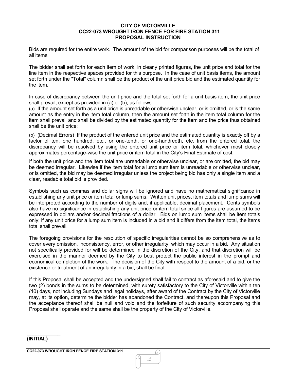#### **CITY OF VICTORVILLE CC22-073 WROUGHT IRON FENCE FOR FIRE STATION 311 PROPOSAL INSTRUCTION**

Bids are required for the entire work. The amount of the bid for comparison purposes will be the total of all items.

The bidder shall set forth for each item of work, in clearly printed figures, the unit price and total for the line item in the respective spaces provided for this purpose. In the case of unit basis items, the amount set forth under the "Total" column shall be the product of the unit price bid and the estimated quantity for the item.

In case of discrepancy between the unit price and the total set forth for a unit basis item, the unit price shall prevail, except as provided in (a) or (b), as follows:

(a) If the amount set forth as a unit price is unreadable or otherwise unclear, or is omitted, or is the same amount as the entry in the item total column, then the amount set forth in the item total column for the item shall prevail and shall be divided by the estimated quantity for the item and the price thus obtained shall be the unit price;

(b) (Decimal Errors) If the product of the entered unit price and the estimated quantity is exactly off by a factor of ten, one hundred, etc., or one-tenth, or one-hundredth, etc. from the entered total, the discrepancy will be resolved by using the entered unit price or item total, whichever most closely approximates percentage-wise the unit price or item total in the City's Final Estimate of cost.

If both the unit price and the item total are unreadable or otherwise unclear, or are omitted, the bid may be deemed irregular. Likewise if the item total for a lump sum item is unreadable or otherwise unclear, or is omitted, the bid may be deemed irregular unless the project being bid has only a single item and a clear, readable total bid is provided.

Symbols such as commas and dollar signs will be ignored and have no mathematical significance in establishing any unit price or item total or lump sums. Written unit prices, item totals and lump sums will be interpreted according to the number of digits and, if applicable, decimal placement. Cents symbols also have no significance in establishing any unit price or item total since all figures are assumed to be expressed in dollars and/or decimal fractions of a dollar. Bids on lump sum items shall be item totals only; if any unit price for a lump sum item is included in a bid and it differs from the item total, the items total shall prevail.

The foregoing provisions for the resolution of specific irregularities cannot be so comprehensive as to cover every omission, inconsistency, error, or other irregularity, which may occur in a bid. Any situation not specifically provided for will be determined in the discretion of the City, and that discretion will be exercised in the manner deemed by the City to best protect the public interest in the prompt and economical completion of the work. The decision of the City with respect to the amount of a bid, or the existence or treatment of an irregularity in a bid, shall be final.

If this Proposal shall be accepted and the undersigned shall fail to contract as aforesaid and to give the two (2) bonds in the sums to be determined, with surety satisfactory to the City of Victorville within ten (10) days, not including Sundays and legal holidays, after award of the Contract by the City of Victorville may, at its option, determine the bidder has abandoned the Contract, and thereupon this Proposal and the acceptance thereof shall be null and void and the forfeiture of such security accompanying this Proposal shall operate and the same shall be the property of the City of Victorville.

#### **(INITIAL)**

**\_\_\_\_\_\_\_\_\_\_\_\_**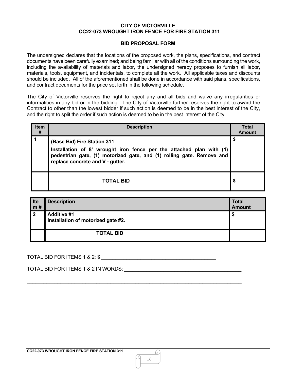#### **BID PROPOSAL FORM**

The undersigned declares that the locations of the proposed work, the plans, specifications, and contract documents have been carefully examined; and being familiar with all of the conditions surrounding the work, including the availability of materials and labor, the undersigned hereby proposes to furnish all labor, materials, tools, equipment, and incidentals, to complete all the work. All applicable taxes and discounts should be included. All of the aforementioned shall be done in accordance with said plans, specifications, and contract documents for the price set forth in the following schedule.

The City of Victorville reserves the right to reject any and all bids and waive any irregularities or informalities in any bid or in the bidding. The City of Victorville further reserves the right to award the Contract to other than the lowest bidder if such action is deemed to be in the best interest of the City, and the right to split the order if such action is deemed to be in the best interest of the City.

| <b>Item</b><br># | <b>Description</b>                                                                                                                                                                                               |    |
|------------------|------------------------------------------------------------------------------------------------------------------------------------------------------------------------------------------------------------------|----|
|                  | (Base Bid) Fire Station 311<br>Installation of 8' wrought iron fence per the attached plan with (1)<br>pedestrian gate, (1) motorized gate, and (1) rolling gate. Remove and<br>replace concrete and V - gutter. | \$ |
|                  | <b>TOTAL BID</b>                                                                                                                                                                                                 | \$ |

| Ite<br>m# | <b>Description</b>                                       | <b>Total</b><br><b>Amount</b> |
|-----------|----------------------------------------------------------|-------------------------------|
| -2        | <b>Additive #1</b><br>Installation of motorized gate #2. | Æ                             |
|           | <b>TOTAL BID</b>                                         |                               |

\_\_\_\_\_\_\_\_\_\_\_\_\_\_\_\_\_\_\_\_\_\_\_\_\_\_\_\_\_\_\_\_\_\_\_\_\_\_\_\_\_\_\_\_\_\_\_\_\_\_\_\_\_\_\_\_\_\_\_\_\_\_\_\_\_\_\_\_\_\_\_\_\_\_\_\_\_

TOTAL BID FOR ITEMS 1 & 2:  $$$ 

TOTAL BID FOR ITEMS 1 & 2 IN WORDS:  $\blacksquare$ 

h)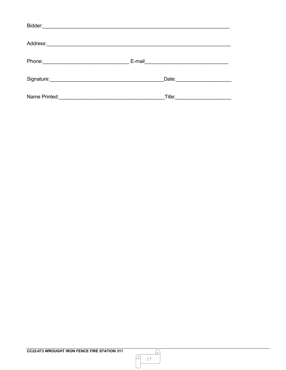| Bidder:       |        |
|---------------|--------|
| Address:      |        |
| Phone:        | E-mail |
| Signature:    | Date:  |
| Name Printed: | Title: |

<u>A</u>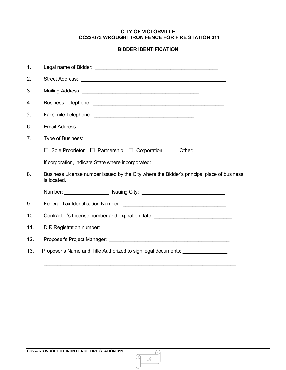# **BIDDER IDENTIFICATION**

| 1.             |                                                                                                          |
|----------------|----------------------------------------------------------------------------------------------------------|
| 2.             |                                                                                                          |
| 3.             |                                                                                                          |
| 4.             |                                                                                                          |
| 5.             |                                                                                                          |
| 6.             |                                                                                                          |
| 7 <sub>1</sub> | Type of Business:                                                                                        |
|                | □ Sole Proprietor □ Partnership □ Corporation Other: _________                                           |
|                | If corporation, indicate State where incorporated: _____________________________                         |
| 8.             | Business License number issued by the City where the Bidder's principal place of business<br>is located. |
|                | Number: _______________________ Issuing City: __________________________________                         |
| 9.             |                                                                                                          |
| 10.            | Contractor's License number and expiration date: _______________________________                         |
| 11.            |                                                                                                          |
| 12.            |                                                                                                          |
| 13.            | Proposer's Name and Title Authorized to sign legal documents: __________________                         |
|                |                                                                                                          |

M

<u>A</u>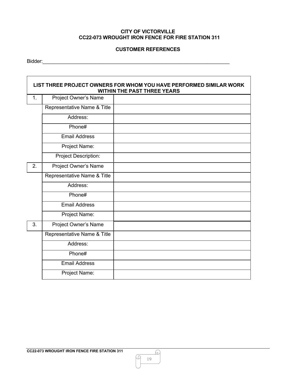# **CUSTOMER REFERENCES**

Bidder:\_\_\_\_\_\_\_\_\_\_\_\_\_\_\_\_\_\_\_\_\_\_\_\_\_\_\_\_\_\_\_\_\_\_\_\_\_\_\_\_\_\_\_\_\_\_\_\_\_\_\_\_\_\_\_\_\_\_\_\_\_\_\_\_\_\_\_

| LIST THREE PROJECT OWNERS FOR WHOM YOU HAVE PERFORMED SIMILAR WORK<br><b>WITHIN THE PAST THREE YEARS</b> |                             |  |
|----------------------------------------------------------------------------------------------------------|-----------------------------|--|
| 1.                                                                                                       | Project Owner's Name        |  |
|                                                                                                          | Representative Name & Title |  |
|                                                                                                          | Address:                    |  |
|                                                                                                          | Phone#                      |  |
|                                                                                                          | <b>Email Address</b>        |  |
|                                                                                                          | Project Name:               |  |
|                                                                                                          | Project Description:        |  |
| 2.                                                                                                       | Project Owner's Name        |  |
|                                                                                                          | Representative Name & Title |  |
|                                                                                                          | Address:                    |  |
|                                                                                                          | Phone#                      |  |
|                                                                                                          | <b>Email Address</b>        |  |
|                                                                                                          | Project Name:               |  |
| 3.                                                                                                       | Project Owner's Name        |  |
|                                                                                                          | Representative Name & Title |  |
|                                                                                                          | Address:                    |  |
|                                                                                                          | Phone#                      |  |
|                                                                                                          | <b>Email Address</b>        |  |
|                                                                                                          | Project Name:               |  |

M

 $\Omega$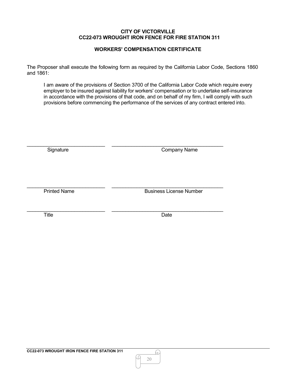# **WORKERS' COMPENSATION CERTIFICATE**

The Proposer shall execute the following form as required by the California Labor Code, Sections 1860 and 1861:

I am aware of the provisions of Section 3700 of the California Labor Code which require every employer to be insured against liability for workers' compensation or to undertake self-insurance in accordance with the provisions of that code, and on behalf of my firm, I will comply with such provisions before commencing the performance of the services of any contract entered into.

| Signature           | <b>Company Name</b>            |
|---------------------|--------------------------------|
|                     |                                |
| <b>Printed Name</b> | <b>Business License Number</b> |
| <b>Title</b>        | Date                           |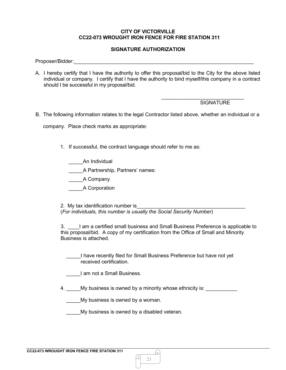#### **SIGNATURE AUTHORIZATION**

Proposer/Bidder:

A. I hereby certify that I have the authority to offer this proposal/bid to the City for the above listed individual or company. I certify that I have the authority to bind myself/this company in a contract should I be successful in my proposal/bid.

#### **SIGNATURE**

 $\_$ 

B. The following information relates to the legal Contractor listed above, whether an individual or a

company. Place check marks as appropriate:

1. If successful, the contract language should refer to me as:

\_\_\_\_\_An Individual

A Partnership, Partners' names:

\_\_\_\_\_A Company

\_\_\_\_\_A Corporation

2. My tax identification number is (*For individuals, this number is usually the Social Security Number*)

3. \_\_\_\_I am a certified small business and Small Business Preference is applicable to this proposal/bid. A copy of my certification from the Office of Small and Minority Business is attached.

I have recently filed for Small Business Preference but have not yet received certification.

\_\_\_\_\_I am not a Small Business.

4. My business is owned by a minority whose ethnicity is:

My business is owned by a woman.

My business is owned by a disabled veteran.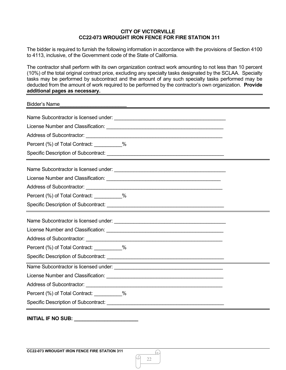The bidder is required to furnish the following information in accordance with the provisions of Section 4100 to 4113, inclusive, of the Government code of the State of California.

The contractor shall perform with its own organization contract work amounting to not less than 10 percent (10%) of the total original contract price, excluding any specialty tasks designated by the SCLAA. Specialty tasks may be performed by subcontract and the amount of any such specialty tasks performed may be deducted from the amount of work required to be performed by the contractor's own organization. **Provide additional pages as necessary.**

| <b>Bidder's Name</b>                       |  |
|--------------------------------------------|--|
|                                            |  |
|                                            |  |
|                                            |  |
| Percent (%) of Total Contract: __________% |  |
|                                            |  |
|                                            |  |
|                                            |  |
|                                            |  |
| Percent (%) of Total Contract: __________% |  |
|                                            |  |
|                                            |  |
|                                            |  |
|                                            |  |
| Percent (%) of Total Contract: __________% |  |
|                                            |  |
|                                            |  |
|                                            |  |
|                                            |  |
| Percent (%) of Total Contract: 1999-1990   |  |
|                                            |  |
|                                            |  |

**INITIAL IF NO SUB: \_\_\_\_\_\_\_\_\_\_\_\_\_\_\_\_\_\_\_\_\_\_\_**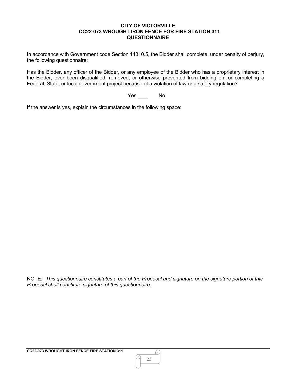#### **CITY OF VICTORVILLE CC22-073 WROUGHT IRON FENCE FOR FIRE STATION 311 QUESTIONNAIRE**

In accordance with Government code Section 14310.5, the Bidder shall complete, under penalty of perjury, the following questionnaire:

Has the Bidder, any officer of the Bidder, or any employee of the Bidder who has a proprietary interest in the Bidder, ever been disqualified, removed, or otherwise prevented from bidding on, or completing a Federal, State, or local government project because of a violation of law or a safety regulation?

Yes No

If the answer is yes, explain the circumstances in the following space:

NOTE: *This questionnaire constitutes a part of the Proposal and signature on the signature portion of this Proposal shall constitute signature of this questionnaire.*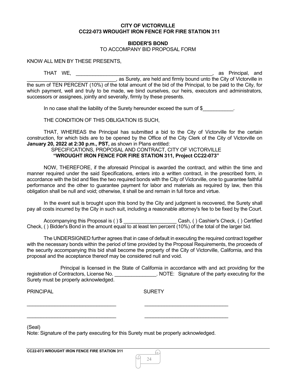#### **BIDDER'S BOND**

#### TO ACCOMPANY BID PROPOSAL FORM

KNOW ALL MEN BY THESE PRESENTS,

THAT WE, \_\_\_\_\_\_\_\_\_\_\_\_\_\_\_\_\_\_\_\_\_\_\_\_\_\_\_\_\_\_\_\_\_\_\_\_\_\_\_\_\_\_\_\_\_\_\_\_\_, as Principal, and \_\_\_\_\_\_\_\_\_\_\_\_\_\_\_\_\_\_\_\_\_\_\_\_\_\_\_\_\_\_\_\_, as Surety, are held and firmly bound unto the City of Victorville in the sum of TEN PERCENT (10%) of the total amount of the bid of the Principal, to be paid to the City, for which payment, well and truly to be made, we bind ourselves, our heirs, executors and administrators, successors or assignees, jointly and severally, firmly by these presents.

In no case shall the liability of the Surety hereunder exceed the sum of \$

THE CONDITION OF THIS OBLIGATION IS SUCH,

THAT, WHEREAS the Principal has submitted a bid to the City of Victorville for the certain construction, for which bids are to be opened by the Office of the City Clerk of the City of Victorville on **January 20, 2022 at 2:30 p.m., PST,** as shown in Plans entitled:

#### SPECIFICATIONS, PROPOSAL AND CONTRACT, CITY OF VICTORVILLE **"WROUGHT IRON FENCE FOR FIRE STATION 311, Project CC22-073"**

NOW, THEREFORE, if the aforesaid Principal is awarded the contract, and within the time and manner required under the said Specifications, enters into a written contract, in the prescribed form, in accordance with the bid and files the two required bonds with the City of Victorville, one to guarantee faithful performance and the other to guarantee payment for labor and materials as required by law, then this obligation shall be null and void; otherwise, it shall be and remain in full force and virtue.

In the event suit is brought upon this bond by the City and judgment is recovered, the Surety shall pay all costs incurred by the City in such suit, including a reasonable attorney's fee to be fixed by the Court.

Accompanying this Proposal is ( ) \$ <br>
Cash, ( ) Cashier's Check, ( ) Certified Check, ( ) Bidder's Bond in the amount equal to at least ten percent (10%) of the total of the larger bid.

The UNDERSIGNED further agrees that in case of default in executing the required contract together with the necessary bonds within the period of time provided by the Proposal Requirements, the proceeds of the security accompanying this bid shall become the property of the City of Victorville, California, and this proposal and the acceptance thereof may be considered null and void.

Principal is licensed in the State of California in accordance with and act providing for the registration of Contractors, License No. \_\_\_\_\_\_\_\_\_\_\_\_\_\_\_\_. NOTE: Signature of the party executing for the Surety must be properly acknowledged.

PRINCIPAL **SURETY** 

24

h)

(Seal)

Note: Signature of the party executing for this Surety must be properly acknowledged.

\_\_\_\_\_\_\_\_\_\_\_\_\_\_\_\_\_\_\_\_\_\_\_\_\_\_\_\_\_\_\_\_ \_\_\_\_\_\_\_\_\_\_\_\_\_\_\_\_\_\_\_\_\_\_\_\_\_\_\_\_\_\_

 $\_$  , and the set of the set of the set of the set of the set of the set of the set of the set of the set of the set of the set of the set of the set of the set of the set of the set of the set of the set of the set of th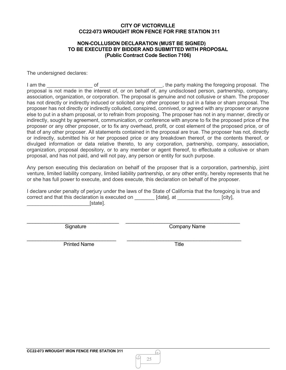#### **NON-COLLUSION DECLARATION (MUST BE SIGNED) TO BE EXECUTED BY BIDDER AND SUBMITTED WITH PROPOSAL (Public Contract Code Section 7106)**

The undersigned declares:

I am the \_\_\_\_\_\_\_\_\_\_\_\_\_\_\_\_ of \_\_\_\_\_\_\_\_\_\_\_\_\_\_\_\_\_\_\_\_\_\_, the party making the foregoing proposal. The proposal is not made in the interest of, or on behalf of, any undisclosed person, partnership, company, association, organization, or corporation. The proposal is genuine and not collusive or sham. The proposer has not directly or indirectly induced or solicited any other proposer to put in a false or sham proposal. The proposer has not directly or indirectly colluded, conspired, connived, or agreed with any proposer or anyone else to put in a sham proposal, or to refrain from proposing. The proposer has not in any manner, directly or indirectly, sought by agreement, communication, or conference with anyone to fix the proposed price of the proposer or any other proposer, or to fix any overhead, profit, or cost element of the proposed price, or of that of any other proposer. All statements contained in the proposal are true. The proposer has not, directly or indirectly, submitted his or her proposed price or any breakdown thereof, or the contents thereof, or divulged information or data relative thereto, to any corporation, partnership, company, association, organization, proposal depository, or to any member or agent thereof, to effectuate a collusive or sham proposal, and has not paid, and will not pay, any person or entity for such purpose.

Any person executing this declaration on behalf of the proposer that is a corporation, partnership, joint venture, limited liability company, limited liability partnership, or any other entity, hereby represents that he or she has full power to execute, and does execute, this declaration on behalf of the proposer.

I declare under penalty of perjury under the laws of the State of California that the foregoing is true and correct and that this declaration is executed on [date], at [city],  $\blacksquare$ 

\_\_\_\_\_\_\_\_\_\_\_\_\_\_\_\_\_\_\_\_\_\_\_\_\_\_\_\_\_\_\_\_\_ \_\_\_\_\_\_\_\_\_\_\_\_\_\_\_\_\_\_\_\_\_\_\_\_\_\_\_\_\_\_\_\_\_\_\_\_\_\_\_\_\_

Signature Company Name

\_\_\_\_\_\_\_\_\_\_\_\_\_\_\_\_\_\_\_\_\_\_\_\_\_\_\_\_\_\_\_\_ \_\_\_\_\_\_\_\_\_\_\_\_\_\_\_\_\_\_\_\_\_\_\_\_\_\_\_\_\_\_\_\_\_\_\_\_\_\_\_\_\_ Printed Name Title

G.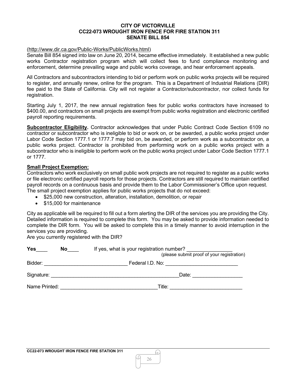#### **CITY OF VICTORVILLE CC22-073 WROUGHT IRON FENCE FOR FIRE STATION 311 SENATE BILL 854**

#### [\(http://www.dir.ca.gov/Public-Works/PublicWorks.html\)](http://www.dir.ca.gov/Public-Works/PublicWorks.html)

Senate Bill 854 signed into law on June 20, 2014, became effective immediately. It established a new public works Contractor registration program which will collect fees to fund compliance monitoring and enforcement, determine prevailing wage and public works coverage, and hear enforcement appeals.

All Contractors and subcontractors intending to bid or perform work on public works projects will be required to register, and annually renew, online for the program. This is a Department of Industrial Relations (DIR) fee paid to the State of California. City will not register a Contractor/subcontractor, nor collect funds for registration.

Starting July 1, 2017, the new annual registration fees for public works contractors have increased to \$400.00, and contractors on small projects are exempt from public works registration and electronic certified payroll reporting requirements.

**Subcontractor Eligibility.** Contractor acknowledges that under Public Contract Code Section 6109 no contractor or subcontractor who is ineligible to bid or work on, or be awarded, a public works project under Labor Code Section 1777.1 or 1777.7 may bid on, be awarded, or perform work as a subcontractor on, a public works project. Contractor is prohibited from performing work on a public works project with a subcontractor who is ineligible to perform work on the public works project under Labor Code Section 1777.1 or 1777.

# **Small Project Exemption:**

Contractors who work exclusively on small public work projects are not required to register as a public works or file electronic certified payroll reports for those projects. Contractors are still required to maintain certified payroll records on a continuous basis and provide them to the Labor Commissioner's Office upon request. The small project exemption applies for public works projects that do not exceed:

- \$25,000 new construction, alteration, installation, demolition, or repair
- \$15,000 for maintenance

City as applicable will be required to fill out a form alerting the DIR of the services you are providing the City. Detailed information is required to complete this form. You may be asked to provide information needed to complete the DIR form. You will be asked to complete this in a timely manner to avoid interruption in the services you are providing.

Are you currently registered with the DIR?

| <b>Yes</b><br>No | If yes, what is your registration number?<br>(please submit proof of your registration) |
|------------------|-----------------------------------------------------------------------------------------|
| Bidder:          | Federal I.D. No:                                                                        |
| Signature:       | Date:                                                                                   |
| Name Printed:    | Title:                                                                                  |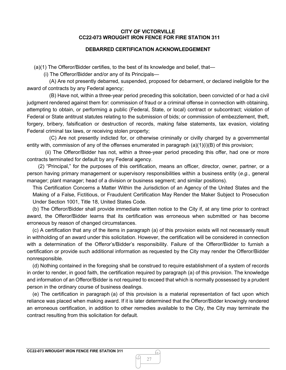# **DEBARRED CERTIFICATION ACKNOWLEDGEMENT**

(a)(1) The Offeror/Bidder certifies, to the best of its knowledge and belief, that—

(i) The Offeror/Bidder and/or any of its Principals—

(A) Are not presently debarred, suspended, proposed for debarment, or declared ineligible for the award of contracts by any Federal agency;

(B) Have not, within a three-year period preceding this solicitation, been convicted of or had a civil judgment rendered against them for: commission of fraud or a criminal offense in connection with obtaining, attempting to obtain, or performing a public (Federal, State, or local) contract or subcontract; violation of Federal or State antitrust statutes relating to the submission of bids; or commission of embezzlement, theft, forgery, bribery, falsification or destruction of records, making false statements, tax evasion, violating Federal criminal tax laws, or receiving stolen property;

(C) Are not presently indicted for, or otherwise criminally or civilly charged by a governmental entity with, commission of any of the offenses enumerated in paragraph (a)(1)(i)(B) of this provision;

(ii) The Offeror/Bidder has not, within a three-year period preceding this offer, had one or more contracts terminated for default by any Federal agency.

(2) "Principal," for the purposes of this certification, means an officer, director, owner, partner, or a person having primary management or supervisory responsibilities within a business entity (*e.g.*, general manager; plant manager; head of a division or business segment; and similar positions).

This Certification Concerns a Matter Within the Jurisdiction of an Agency of the United States and the Making of a False, Fictitious, or Fraudulent Certification May Render the Maker Subject to Prosecution Under Section 1001, Title 18, United States Code.

(b) The Offeror/Bidder shall provide immediate written notice to the City if, at any time prior to contract award, the Offeror/Bidder learns that its certification was erroneous when submitted or has become erroneous by reason of changed circumstances.

(c) A certification that any of the items in paragraph (a) of this provision exists will not necessarily result in withholding of an award under this solicitation. However, the certification will be considered in connection with a determination of the Offeror's/Bidder's responsibility. Failure of the Offeror/Bidder to furnish a certification or provide such additional information as requested by the City may render the Offeror/Bidder nonresponsible.

(d) Nothing contained in the foregoing shall be construed to require establishment of a system of records in order to render, in good faith, the certification required by paragraph (a) of this provision. The knowledge and information of an Offeror/Bidder is not required to exceed that which is normally possessed by a prudent person in the ordinary course of business dealings.

(e) The certification in paragraph (a) of this provision is a material representation of fact upon which reliance was placed when making award. If it is later determined that the Offeror/Bidder knowingly rendered an erroneous certification, in addition to other remedies available to the City, the City may terminate the contract resulting from this solicitation for default.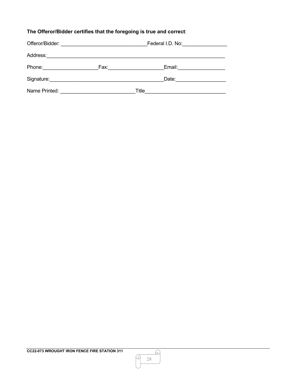# **The Offeror/Bidder certifies that the foregoing is true and correct**:

| Offeror/Bidder: |      | Federal I.D. No: |  |
|-----------------|------|------------------|--|
| Address:        |      |                  |  |
| Phone:          | Fax: | Email:           |  |
| Signature:      |      | Date:            |  |
| Name Printed:   |      | Title            |  |

M

Q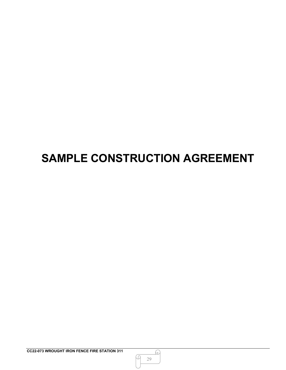# **SAMPLE CONSTRUCTION AGREEMENT**

Q

<u>A</u>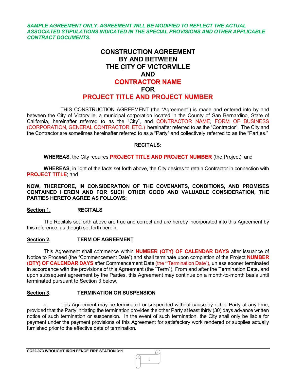*SAMPLE AGREEMENT ONLY. AGREEMENT WILL BE MODIFIED TO REFLECT THE ACTUAL ASSOCIATED STIPULATIONS INDICATED IN THE SPECIAL PROVISIONS AND OTHER APPLICABLE CONTRACT DOCUMENTS.*

# **CONSTRUCTION AGREEMENT BY AND BETWEEN THE CITY OF VICTORVILLE AND CONTRACTOR NAME FOR PROJECT TITLE AND PROJECT NUMBER**

THIS CONSTRUCTION AGREEMENT (the "Agreement") is made and entered into by and between the City of Victorville, a municipal corporation located in the County of San Bernardino, State of California, hereinafter referred to as the "City", and CONTRACTOR NAME, FORM OF BUSINESS (CORPORATION, GENERAL CONTRACTOR, ETC.) hereinafter referred to as the "Contractor". The City and the Contractor are sometimes hereinafter referred to as a "Party" and collectively referred to as the "Parties."

# **RECITALS:**

**WHEREAS**, the City requires **PROJECT TITLE AND PROJECT NUMBER** (the Project); and

**WHEREAS**, in light of the facts set forth above, the City desires to retain Contractor in connection with **PROJECT TITLE**; and

**NOW, THEREFORE, IN CONSIDERATION OF THE COVENANTS, CONDITIONS, AND PROMISES CONTAINED HEREIN AND FOR SUCH OTHER GOOD AND VALUABLE CONSIDERATION, THE PARTIES HERETO AGREE AS FOLLOWS:**

#### **Section 1. RECITALS**

The Recitals set forth above are true and correct and are hereby incorporated into this Agreement by this reference, as though set forth herein.

#### **Section 2. TERM OF AGREEMENT**

This Agreement shall commence within **NUMBER (QTY) OF CALENDAR DAYS** after issuance of Notice to Proceed (the "Commencement Date") and shall terminate upon completion of the Project **NUMBER (QTY) OF CALENDAR DAYS** after Commencement Date (the **"**Termination Date"), unless sooner terminated in accordance with the provisions of this Agreement (the "Term"). From and after the Termination Date, and upon subsequent agreement by the Parties, this Agreement may continue on a month-to-month basis until terminated pursuant to Section 3 below.

# **Section 3. TERMINATION OR SUSPENSION**

a. This Agreement may be terminated or suspended without cause by either Party at any time, provided that the Party initiating the termination provides the other Party at least thirty (30) days advance written notice of such termination or suspension. In the event of such termination, the City shall only be liable for payment under the payment provisions of this Agreement for satisfactory work rendered or supplies actually furnished prior to the effective date of termination.

1

᠕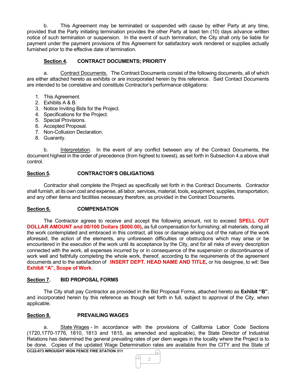b. This Agreement may be terminated or suspended with cause by either Party at any time, provided that the Party initiating termination provides the other Party at least ten (10) days advance written notice of such termination or suspension. In the event of such termination, the City shall only be liable for payment under the payment provisions of this Agreement for satisfactory work rendered or supplies actually furnished prior to the effective date of termination.

# **Section 4. CONTRACT DOCUMENTS; PRIORITY**

a. Contract Documents. The Contract Documents consist of the following documents, all of which are either attached hereto as exhibits or are incorporated herein by this reference. Said Contact Documents are intended to be correlative and constitute Contractor's performance obligations:

- 1. This Agreement.
- 2. Exhibits A & B.
- 3. Notice Inviting Bids for the Project.
- 4. Specifications for the Project.
- 5. Special Provisions.
- 6. Accepted Proposal.
- 7. Non-Collusion Declaration.
- 8. Guaranty.

b. Interpretation. In the event of any conflict between any of the Contract Documents, the document highest in the order of precedence (from highest to lowest), as set forth in Subsection 4.a above shall control.

#### **Section 5. CONTRACTOR'S OBLIGATIONS**

Contractor shall complete the Project as specifically set forth in the Contract Documents. Contractor shall furnish, at its own cost and expense, all labor, services, material, tools, equipment, supplies, transportation, and any other items and facilities necessary therefore, as provided in the Contract Documents.

#### **Section 6. COMPENSATION**

The Contractor agrees to receive and accept the following amount, not to exceed **SPELL OUT DOLLAR AMOUNT and 00/100 Dollars (\$000.00),** as full compensation for furnishing; all materials, doing all the work contemplated and embraced in this contract, all loss or damage arising out of the nature of the work aforesaid, the action of the elements, any unforeseen difficulties or obstructions which may arise or be encountered in the execution of the work until its acceptance by the City, and for all risks of every description connected with the work, all expenses incurred by or in consequence of the suspension or discontinuance of work well and faithfully completing the whole work, thereof, according to the requirements of the agreement documents and to the satisfaction of **INSERT DEPT. HEAD NAME AND TITLE,** or his designee, to wit: See **Exhibit "A", Scope of Work**.

# **Section 7. BID PROPOSAL FORMS**

The City shall pay Contractor as provided in the Bid Proposal Forms, attached hereto as **Exhibit "B"**, and incorporated herein by this reference as though set forth in full, subject to approval of the City, when applicable.

#### **Section 8. PREVAILING WAGES**

a. State Wages - In accordance with the provisions of California Labor Code Sections (1720,1770-1776, 1810, 1813 and 1815, as amended and applicable), the State Director of Industrial Relations has determined the general prevailing rates of per diem wages in the locality where the Project is to be done. Copies of the updated Wage Determination rates are available from the CITY and the State of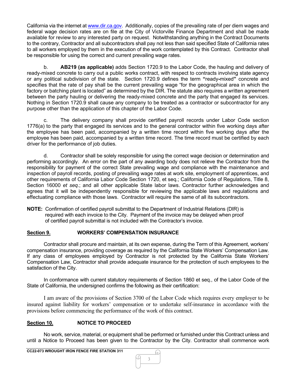California via the internet at [www.dir.ca.gov.](http://www.dir.ca.gov/) Additionally, copies of the prevailing rate of per diem wages and federal wage decision rates are on file at the City of Victorville Finance Department and shall be made available for review to any interested party on request. Notwithstanding anything in the Contract Documents to the contrary, Contractor and all subcontractors shall pay not less than said specified State of California rates to all workers employed by them in the execution of the work contemplated by this Contract. Contractor shall be responsible for using the correct and current prevailing wage rates.

b. **AB219 (as applicable)** adds Section 1720.9 to the Labor Code, the hauling and delivery of ready-mixed concrete to carry out a public works contract, with respect to contracts involving state agency or any political subdivision of the state. Section 1720.9 defines the term **"**ready**-**mixed**"** concrete and specifies that the rate of pay shall be the current prevailing wage "for the geographical area in which the factory or batching plant is located" as determined by the DIR. The statute also requires a written agreement between the party hauling or delivering the ready-mixed concrete and the party that engaged its services. Nothing in Section 1720.9 shall cause any company to be treated as a contractor or subcontractor for any purpose other than the application of this chapter of the Labor Code.

c. The delivery company shall provide certified payroll records under Labor Code section 1776(a) to the party that engaged its services and to the general contractor within five working days after the employee has been paid, accompanied by a written time record within five working days after the employee has been paid, accompanied by a written time record. The time record must be certified by each driver for the performance of job duties.

d. Contractor shall be solely responsible for using the correct wage decision or determination and performing accordingly. An error on the part of any awarding body does not relieve the Contractor from the responsibility for payment of the correct State prevailing wage and compliance with the maintenance and inspection of payroll records, posting of prevailing wage rates at work site, employment of apprentices, and other requirements of California Labor Code Section 1720, et seq.; California Code of Regulations, Title 8, Section 16000 *et seq*.; and all other applicable State labor laws. Contractor further acknowledges and agrees that it will be independently responsible for reviewing the applicable laws and regulations and effectuating compliance with those laws. Contractor will require the same of all its subcontractors.

**NOTE:** Confirmation of certified payroll submittal to the Department of Industrial Relations (DIR) is required with each invoice to the City. Payment of the invoice may be delayed when proof of certified payroll submittal is not included with the Contractor's invoice.

# **Section 9. WORKERS' COMPENSATION INSURANCE**

Contractor shall procure and maintain, at its own expense, during the Term of this Agreement, workers' compensation insurance, providing coverage as required by the California State Workers' Compensation Law. If any class of employees employed by Contractor is not protected by the California State Workers' Compensation Law, Contractor shall provide adequate insurance for the protection of such employees to the satisfaction of the City.

In conformance with current statutory requirements of Section 1860 et seq., of the Labor Code of the State of California, the undersigned confirms the following as their certification:

I am aware of the provisions of Section 3700 of the Labor Code which requires every employer to be insured against liability for workers' compensation or to undertake self-insurance in accordance with the provisions before commencing the performance of the work of this contract.

# **Section 10. NOTICE TO PROCEED**

No work, service, material, or equipment shall be performed or furnished under this Contract unless and until a Notice to Proceed has been given to the Contractor by the City. Contractor shall commence work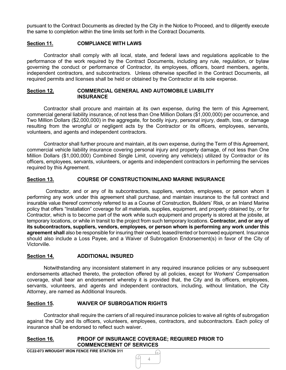pursuant to the Contract Documents as directed by the City in the Notice to Proceed, and to diligently execute the same to completion within the time limits set forth in the Contract Documents.

# **Section 11. COMPLIANCE WITH LAWS**

Contractor shall comply with all local, state, and federal laws and regulations applicable to the performance of the work required by the Contract Documents, including any rule, regulation, or bylaw governing the conduct or performance of Contractor, its employees, officers, board members, agents, independent contractors, and subcontractors. Unless otherwise specified in the Contract Documents, all required permits and licenses shall be held or obtained by the Contractor at its sole expense.

#### **Section 12. COMMERCIAL GENERAL AND AUTOMOBILE LIABILITY INSURANCE**

Contractor shall procure and maintain at its own expense, during the term of this Agreement, commercial general liability insurance, of not less than One Million Dollars (\$1,000,000) per occurrence, and Two Million Dollars (\$2,000,000) in the aggregate, for bodily injury, personal injury, death, loss, or damage resulting from the wrongful or negligent acts by the Contractor or its officers, employees, servants, volunteers, and agents and independent contractors.

Contractor shall further procure and maintain, at its own expense, during the Term of this Agreement, commercial vehicle liability insurance covering personal injury and property damage, of not less than One Million Dollars (\$1,000,000) Combined Single Limit, covering any vehicle(s) utilized by Contractor or its officers, employees, servants, volunteers, or agents and independent contractors in performing the services required by this Agreement.

#### **Section 13. COURSE OF CONSTRUCTION/INLAND MARINE INSURANCE**

Contractor, and or any of its subcontractors, suppliers, vendors, employees, or person whom it performing any work under this agreement shall purchase, and maintain insurance to the full contract and insurable value thereof commonly referred to as a Course of Construction, Builders' Risk, or an Inland Marine policy that offers "Installation" coverage for all materials, supplies, equipment, and property obtained by, or for Contractor, which is to become part of the work while such equipment and property is stored at the jobsite, at temporary locations, or while in transit to the project from such temporary locations. **Contractor, and or any of its subcontractors, suppliers, vendors, employees, or person whom is performing any work under this agreement shall** also be responsible for insuring their owned, leased/rented or borrowed equipment. Insurance should also include a Loss Payee, and a Waiver of Subrogation Endorsement(s) in favor of the City of Victorville.

# **Section 14. ADDITIONAL INSURED**

Notwithstanding any inconsistent statement in any required insurance policies or any subsequent endorsements attached thereto, the protection offered by all policies, except for Workers' Compensation coverage, shall bear an endorsement whereby it is provided that, the City and its officers, employees, servants, volunteers, and agents and independent contractors, including, without limitation, the City Attorney, are named as Additional Insureds.

# **Section 15. WAIVER OF SUBROGATION RIGHTS**

Contractor shall require the carriers of all required insurance policies to waive all rights of subrogation against the City and its officers, volunteers, employees, contractors, and subcontractors. Each policy of insurance shall be endorsed to reflect such waiver.

#### **Section 16. PROOF OF INSURANCE COVERAGE; REQUIRED PRIOR TO COMMENCEMENT OF SERVICES**

**CC22-073 WROUGHT IRON FENCE FIRE STATION 311**

4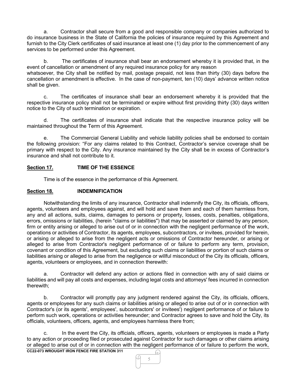a. Contractor shall secure from a good and responsible company or companies authorized to do insurance business in the State of California the policies of insurance required by this Agreement and furnish to the City Clerk certificates of said insurance at least one (1) day prior to the commencement of any services to be performed under this Agreement.

b. The certificates of insurance shall bear an endorsement whereby it is provided that, in the event of cancellation or amendment of any required insurance policy for any reason whatsoever, the City shall be notified by mail, postage prepaid, not less than thirty (30) days before the cancellation or amendment is effective. In the case of non-payment, ten (10) days' advance written notice shall be given.

c. The certificates of insurance shall bear an endorsement whereby it is provided that the respective insurance policy shall not be terminated or expire without first providing thirty (30) days written notice to the City of such termination or expiration.

d. The certificates of insurance shall indicate that the respective insurance policy will be maintained throughout the Term of this Agreement.

e. The Commercial General Liability and vehicle liability policies shall be endorsed to contain the following provision: "For any claims related to this Contract, Contractor's service coverage shall be primary with respect to the City. Any insurance maintained by the City shall be in excess of Contractor's insurance and shall not contribute to it.

# **Section 17. TIME OF THE ESSENCE**

Time is of the essence in the performance of this Agreement.

# **Section 18. INDEMNIFICATION**

Notwithstanding the limits of any insurance, Contractor shall indemnify the City, its officials, officers, agents, volunteers and employees against, and will hold and save them and each of them harmless from, any and all actions, suits, claims, damages to persons or property, losses, costs, penalties, obligations, errors, omissions or liabilities, (herein "claims or liabilities") that may be asserted or claimed by any person, firm or entity arising or alleged to arise out of or in connection with the negligent performance of the work, operations or activities of Contractor, its agents, employees, subcontractors, or invitees, provided for herein, or arising or alleged to arise from the negligent acts or omissions of Contractor hereunder, or arising or alleged to arise from Contractor's negligent performance of or failure to perform any term, provision, covenant or condition of this Agreement, but excluding such claims or liabilities or portion of such claims or liabilities arising or alleged to arise from the negligence or willful misconduct of the City its officials, officers, agents, volunteers or employees, and in connection therewith:

a. Contractor will defend any action or actions filed in connection with any of said claims or liabilities and will pay all costs and expenses, including legal costs and attorneys' fees incurred in connection therewith;

b. Contractor will promptly pay any judgment rendered against the City, its officials, officers, agents or employees for any such claims or liabilities arising or alleged to arise out of or in connection with Contractor's (or its agents', employees', subcontractors' or invitees') negligent performance of or failure to perform such work, operations or activities hereunder; and Contractor agrees to save and hold the City, its officials, volunteers, officers, agents, and employees harmless there from;

c. In the event the City, its officials, officers, agents, volunteers or employees is made a Party to any action or proceeding filed or prosecuted against Contractor for such damages or other claims arising or alleged to arise out of or in connection with the negligent performance of or failure to perform the work,

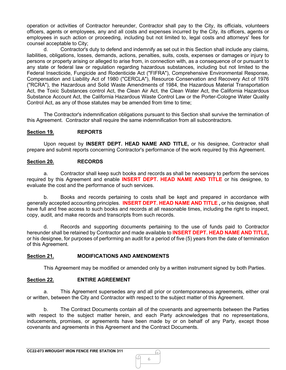operation or activities of Contractor hereunder, Contractor shall pay to the City, its officials, volunteers officers, agents or employees, any and all costs and expenses incurred by the City, its officers, agents or employees in such action or proceeding, including but not limited to, legal costs and attorneys' fees for counsel acceptable to City;

d. Contractor's duty to defend and indemnify as set out in this Section shall include any claims, liabilities, obligations, losses, demands, actions, penalties, suits, costs, expenses or damages or injury to persons or property arising or alleged to arise from, in connection with, as a consequence of or pursuant to any state or federal law or regulation regarding hazardous substances, including but not limited to the Federal Insecticide, Fungicide and Rodenticide Act ("FIFRA"), Comprehensive Environmental Response, Compensation and Liability Act of 1980 ("CERCLA"), Resource Conservation and Recovery Act of 1976 ("RCRA"), the Hazardous and Solid Waste Amendments of 1984, the Hazardous Material Transportation Act, the Toxic Substances control Act, the Clean Air Act, the Clean Water Act, the California Hazardous Substance Account Act, the California Hazardous Waste Control Law or the Porter-Cologne Water Quality Control Act, as any of those statutes may be amended from time to time;

The Contractor's indemnification obligations pursuant to this Section shall survive the termination of this Agreement. Contractor shall require the same indemnification from all subcontractors.

# **Section 19. REPORTS**

Upon request by **INSERT DEPT. HEAD NAME AND TITLE,** or his designee, Contractor shall prepare and submit reports concerning Contractor's performance of the work required by this Agreement.

# **Section 20. RECORDS**

a. Contractor shall keep such books and records as shall be necessary to perform the services required by this Agreement and enable **INSERT DEPT. HEAD NAME AND TITLE** or his designee, to evaluate the cost and the performance of such services.

b. Books and records pertaining to costs shall be kept and prepared in accordance with generally accepted accounting principles. **INSERT DEPT. HEAD NAME AND TITLE ,** or his designee, shall have full and free access to such books and records at all reasonable times, including the right to inspect, copy, audit, and make records and transcripts from such records.

d. Records and supporting documents pertaining to the use of funds paid to Contractor hereunder shall be retained by Contractor and made available to **INSERT DEPT. HEAD NAME AND TITLE,** or his designee, for purposes of performing an audit for a period of five (5) years from the date of termination of this Agreement.

# **Section 21. MODIFICATIONS AND AMENDMENTS**

This Agreement may be modified or amended only by a written instrument signed by both Parties.

# **Section 22. ENTIRE AGREEMENT**

a. This Agreement supersedes any and all prior or contemporaneous agreements, either oral or written, between the City and Contractor with respect to the subject matter of this Agreement.

b. The Contract Documents contain all of the covenants and agreements between the Parties with respect to the subject matter herein, and each Party acknowledges that no representations, inducements, promises, or agreements have been made by or on behalf of any Party, except those covenants and agreements in this Agreement and the Contract Documents.

6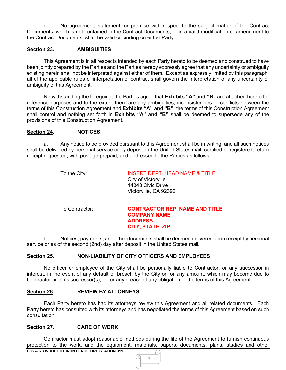c. No agreement, statement, or promise with respect to the subject matter of the Contract Documents, which is not contained in the Contract Documents, or in a valid modification or amendment to the Contract Documents, shall be valid or binding on either Party.

### **Section 23. AMBIGUITIES**

This Agreement is in all respects intended by each Party hereto to be deemed and construed to have been jointly prepared by the Parties and the Parties hereby expressly agree that any uncertainty or ambiguity existing herein shall not be interpreted against either of them. Except as expressly limited by this paragraph, all of the applicable rules of interpretation of contract shall govern the interpretation of any uncertainty or ambiguity of this Agreement.

Notwithstanding the foregoing, the Parties agree that **Exhibits "A" and "B"** are attached hereto for reference purposes and to the extent there are any ambiguities, inconsistencies or conflicts between the terms of this Construction Agreement and **Exhibits "A" and "B"**, the terms of this Construction Agreement shall control and nothing set forth in **Exhibits "A" and "B"** shall be deemed to supersede any of the provisions of this Construction Agreement.

#### **Section 24. NOTICES**

a. Any notice to be provided pursuant to this Agreement shall be in writing, and all such notices shall be delivered by personal service or by deposit in the United States mail, certified or registered, return receipt requested, with postage prepaid, and addressed to the Parties as follows:

| To the City:   | <b>INSERT DEPT. HEAD NAME &amp; TITLE</b><br>City of Victorville<br>14343 Civic Drive<br>Victorville, CA 92392 |
|----------------|----------------------------------------------------------------------------------------------------------------|
| To Contractor: | <b>CONTRACTOR REP. NAME AND TITLE</b><br><b>COMPANY NAME</b><br><b>ADDRESS</b><br><b>CITY, STATE, ZIP</b>      |

b. Notices, payments, and other documents shall be deemed delivered upon receipt by personal service or as of the second (2nd) day after deposit in the United States mail.

# **Section 25. NON-LIABILITY OF CITY OFFICERS AND EMPLOYEES**

No officer or employee of the City shall be personally liable to Contractor, or any successor in interest, in the event of any default or breach by the City or for any amount, which may become due to Contractor or to its successor(s), or for any breach of any obligation of the terms of this Agreement.

#### **Section 26. REVIEW BY ATTORNEYS**

Each Party hereto has had its attorneys review this Agreement and all related documents. Each Party hereto has consulted with its attorneys and has negotiated the terms of this Agreement based on such consultation.

#### **Section 27. CARE OF WORK**

**CC22-073 WROUGHT IRON FENCE FIRE STATION 311** Contractor must adopt reasonable methods during the life of the Agreement to furnish continuous protection to the work, and the equipment, materials, papers, documents, plans, studies and other

7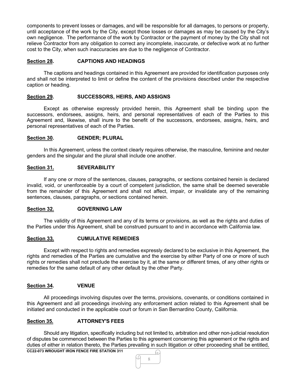components to prevent losses or damages, and will be responsible for all damages, to persons or property, until acceptance of the work by the City, except those losses or damages as may be caused by the City's own negligence. The performance of the work by Contractor or the payment of money by the City shall not relieve Contractor from any obligation to correct any incomplete, inaccurate, or defective work at no further cost to the City, when such inaccuracies are due to the negligence of Contractor.

# **Section 28. CAPTIONS AND HEADINGS**

The captions and headings contained in this Agreement are provided for identification purposes only and shall not be interpreted to limit or define the content of the provisions described under the respective caption or heading.

# **Section 29. SUCCESSORS, HEIRS, AND ASSIGNS**

Except as otherwise expressly provided herein, this Agreement shall be binding upon the successors, endorsees, assigns, heirs, and personal representatives of each of the Parties to this Agreement and, likewise, shall inure to the benefit of the successors, endorsees, assigns, heirs, and personal representatives of each of the Parties.

#### **Section 30. GENDER; PLURAL**

In this Agreement, unless the context clearly requires otherwise, the masculine, feminine and neuter genders and the singular and the plural shall include one another.

#### **Section 31. SEVERABILITY**

If any one or more of the sentences, clauses, paragraphs, or sections contained herein is declared invalid, void, or unenforceable by a court of competent jurisdiction, the same shall be deemed severable from the remainder of this Agreement and shall not affect, impair, or invalidate any of the remaining sentences, clauses, paragraphs, or sections contained herein.

# **Section 32. GOVERNING LAW**

The validity of this Agreement and any of its terms or provisions, as well as the rights and duties of the Parties under this Agreement, shall be construed pursuant to and in accordance with California law.

# **Section 33. CUMULATIVE REMEDIES**

Except with respect to rights and remedies expressly declared to be exclusive in this Agreement, the rights and remedies of the Parties are cumulative and the exercise by either Party of one or more of such rights or remedies shall not preclude the exercise by it, at the same or different times, of any other rights or remedies for the same default of any other default by the other Party.

# **Section 34. VENUE**

All proceedings involving disputes over the terms, provisions, covenants, or conditions contained in this Agreement and all proceedings involving any enforcement action related to this Agreement shall be initiated and conducted in the applicable court or forum in San Bernardino County, California.

# **Section 35. ATTORNEY'S FEES**

Should any litigation, specifically including but not limited to, arbitration and other non-judicial resolution of disputes be commenced between the Parties to this agreement concerning this agreement or the rights and duties of either in relation thereto, the Parties prevailing in such litigation or other proceeding shall be entitled,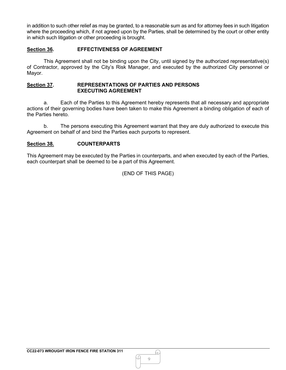in addition to such other relief as may be granted, to a reasonable sum as and for attorney fees in such litigation where the proceeding which, if not agreed upon by the Parties, shall be determined by the court or other entity in which such litigation or other proceeding is brought.

# **Section 36. EFFECTIVENESS OF AGREEMENT**

This Agreement shall not be binding upon the City, until signed by the authorized representative(s) of Contractor, approved by the City's Risk Manager, and executed by the authorized City personnel or Mayor.

#### **Section 37. REPRESENTATIONS OF PARTIES AND PERSONS EXECUTING AGREEMENT**

a. Each of the Parties to this Agreement hereby represents that all necessary and appropriate actions of their governing bodies have been taken to make this Agreement a binding obligation of each of the Parties hereto.

b. The persons executing this Agreement warrant that they are duly authorized to execute this Agreement on behalf of and bind the Parties each purports to represent.

# **Section 38. COUNTERPARTS**

This Agreement may be executed by the Parties in counterparts, and when executed by each of the Parties, each counterpart shall be deemed to be a part of this Agreement.

(END OF THIS PAGE)

G.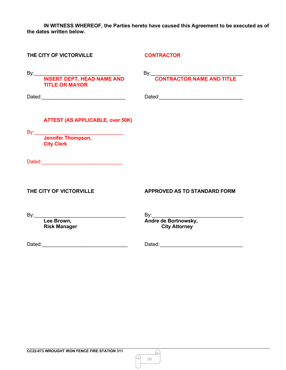**IN WITNESS WHEREOF, the Parties hereto have caused this Agreement to be executed as of the dates written below.**

| THE CITY OF VICTORVILLE                                                                                                                                                                                                        | <b>CONTRACTOR</b>                                          |
|--------------------------------------------------------------------------------------------------------------------------------------------------------------------------------------------------------------------------------|------------------------------------------------------------|
| By: INSERT DEPT. HEAD NAME AND<br><b>TITLE OR MAYOR</b>                                                                                                                                                                        | By: CONTRACTOR NAME AND TITLE                              |
|                                                                                                                                                                                                                                |                                                            |
| <b>ATTEST (AS APPLICABLE, over 50K)</b>                                                                                                                                                                                        |                                                            |
| By: Jennifer Thompson,<br><b>City Clerk</b>                                                                                                                                                                                    |                                                            |
| Dated: National Contract of Contract Contract of Contract Contract Contract Contract Contract Contract Contract Contract Contract Contract Contract Contract Contract Contract Contract Contract Contract Contract Contract Co |                                                            |
| THE CITY OF VICTORVILLE                                                                                                                                                                                                        | <b>APPROVED AS TO STANDARD FORM</b>                        |
| <b>Risk Manager</b>                                                                                                                                                                                                            | By:<br><b>Andre de Bortnowsky,</b><br><b>City Attorney</b> |
|                                                                                                                                                                                                                                |                                                            |

10

Q

<u>A</u>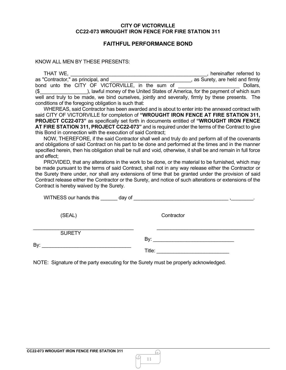# **FAITHFUL PERFORMANCE BOND**

KNOW ALL MEN BY THESE PRESENTS:

| THAT WE,                                                                                           | hereinafter referred to                                                       |
|----------------------------------------------------------------------------------------------------|-------------------------------------------------------------------------------|
| as "Contractor," as principal, and                                                                 | as Surety, are held and firmly                                                |
| bond unto the CITY OF VICTORVILLE, in the sum of                                                   | Dollars,                                                                      |
| $($ \$                                                                                             | ), lawful money of the United States of America, for the payment of which sum |
| well and truly to be made, we bind ourselves, jointly and severally, firmly by these presents. The |                                                                               |
| conditions of the foregoing obligation is such that:                                               |                                                                               |

WHEREAS, said Contractor has been awarded and is about to enter into the annexed contract with said CITY OF VICTORVILLE for completion of **"WROUGHT IRON FENCE AT FIRE STATION 311, PROJECT CC22-073"** as specifically set forth in documents entitled of **"WROUGHT IRON FENCE AT FIRE STATION 311, PROJECT CC22-073"** and is required under the terms of the Contract to give this Bond in connection with the execution of said Contract;

NOW, THEREFORE, if the said Contractor shall well and truly do and perform all of the covenants and obligations of said Contract on his part to be done and performed at the times and in the manner specified herein, then his obligation shall be null and void, otherwise, it shall be and remain in full force and effect;

PROVIDED, that any alterations in the work to be done, or the material to be furnished, which may be made pursuant to the terms of said Contract, shall not in any way release either the Contractor or the Surety there under, nor shall any extensions of time that be granted under the provision of said Contract release either the Contractor or the Surety, and notice of such alterations or extensions of the Contract is hereby waived by the Surety.

|     | (SEAL)        | Contractor |  |
|-----|---------------|------------|--|
| By: | <b>SURETY</b> |            |  |
|     |               | Title:     |  |

NOTE: Signature of the party executing for the Surety must be properly acknowledged.

G.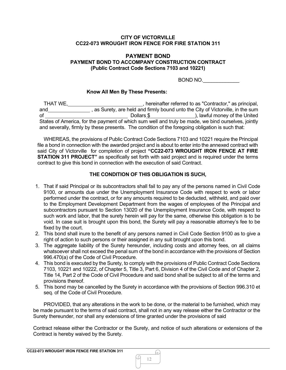### **PAYMENT BOND PAYMENT BOND TO ACCOMPANY CONSTRUCTION CONTRACT (Public Contract Code Sections 7103 and 10221)**

BOND NO.

#### **Know All Men By These Presents:**

THAT WE, <u>see also as the contractor</u>, hereinafter referred to as "Contractor," as principal, and \_\_\_\_\_\_\_\_\_\_\_\_\_\_\_\_, as Surety, are held and firmly bound unto the City of Victorville, in the sum of Dollars \$ ), lawful money of the United States of America, for the payment of which sum well and truly be made, we bind ourselves, jointly and severally, firmly by these presents. The condition of the foregoing obligation is such that:

WHEREAS, the provisions of Public Contract Code Sections 7103 and 10221 require the Principal file a bond in connection with the awarded project and is about to enter into the annexed contract with said City of Victorville for completion of project **"CC22-073 WROUGHT IRON FENCE AT FIRE STATION 311 PROJECT**" as specifically set forth with said project and is required under the terms contract to give this bond in connection with the execution of said Contract.

# **THE CONDITION OF THIS OBLIGATION IS SUCH,**

- 1. That if said Principal or its subcontractors shall fail to pay any of the persons named in Civil Code 9100, or amounts due under the Unemployment Insurance Code with respect to work or labor performed under the contract, or for any amounts required to be deducted, withheld, and paid over to the Employment Development Department from the wages of employees of the Principal and subcontractors pursuant to Section 13020 of the Unemployment Insurance Code, with respect to such work and labor, that the surety herein will pay for the same, otherwise this obligation is to be void. In case suit is brought upon this bond, the Surety will pay a reasonable attorney's fee to be fixed by the court.
- 2. This bond shall inure to the benefit of any persons named in Civil Code Section 9100 as to give a right of action to such persons or their assigned in any suit brought upon this bond.
- 3. The aggregate liability of the Surety hereunder, including costs and attorney fees, on all claims whatsoever shall not exceed the penal sum of the bond in accordance with the provisions of Section 996.470(a) of the Code of Civil Procedure.
- 4. This bond is executed by the Surety, to comply with the provisions of Public Contract Code Sections 7103, 10221 and 10222, of Chapter 5, Title 3, Part 6, Division 4 of the Civil Code and of Chapter 2, Title 14, Part 2 of the Code of Civil Procedure and said bond shall be subject to all of the terms and provisions thereof.
- 5. This bond may be cancelled by the Surety in accordance with the provisions of Section 996.310 et seq. of the Code of Civil Procedure.

PROVIDED, that any alterations in the work to be done, or the material to be furnished, which may be made pursuant to the terms of said contract, shall not in any way release either the Contractor or the Surety thereunder, nor shall any extensions of time granted under the provisions of said

Contract release either the Contractor or the Surety, and notice of such alterations or extensions of the Contract is hereby waived by the Surety.

h)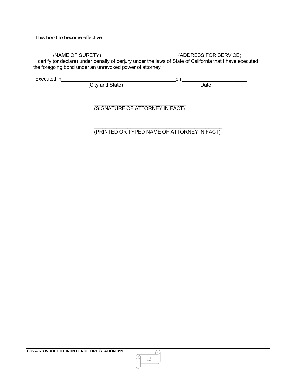| This bond to become effective |  |
|-------------------------------|--|
|                               |  |

\_\_\_\_\_\_\_\_\_\_\_\_\_\_\_\_\_\_\_\_\_\_\_\_\_\_\_\_\_\_\_\_ \_\_\_\_\_\_\_\_\_\_\_\_\_\_\_\_\_\_\_\_\_\_\_\_\_\_\_\_\_\_\_\_

 (NAME OF SURETY) (ADDRESS FOR SERVICE) I certify (or declare) under penalty of perjury under the laws of State of California that I have executed the foregoing bond under an unrevoked power of attorney.

Executed in\_\_\_\_\_\_\_\_\_\_\_\_\_\_\_\_\_\_\_\_\_\_\_\_\_\_\_\_\_\_\_\_\_\_\_\_\_\_\_\_\_on \_\_\_\_\_\_\_\_\_\_\_\_\_\_\_\_\_\_\_\_\_\_\_

(City and State) and Date by Date

\_\_\_\_\_\_\_\_\_\_\_\_\_\_\_\_\_\_\_\_\_\_\_\_\_\_\_\_\_\_\_\_\_ (SIGNATURE OF ATTORNEY IN FACT)

\_\_\_\_\_\_\_\_\_\_\_\_\_\_\_\_\_\_\_\_\_\_\_\_\_\_\_\_\_\_\_\_\_\_\_\_\_\_\_\_\_\_\_\_\_\_ (PRINTED OR TYPED NAME OF ATTORNEY IN FACT)

₽

Q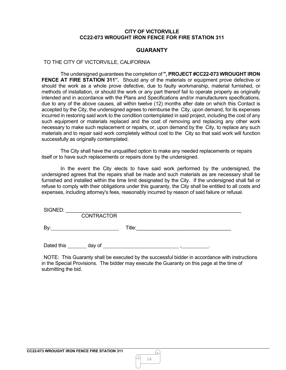### **GUARANTY**

#### TO THE CITY OF VICTORVILLE, CALIFORNIA

The undersigned guarantees the completion of **", PROJECT #CC22-073 WROUGHT IRON FENCE AT FIRE STATION 311".** Should any of the materials or equipment prove defective or should the work as a whole prove defective, due to faulty workmanship, material furnished, or methods of installation, or should the work or any part thereof fail to operate properly as originally intended and in accordance with the Plans and Specifications and/or manufacturers specifications, due to any of the above causes, all within twelve (12) months after date on which this Contact is accepted by the City, the undersigned agrees to reimburse the City, upon demand, for its expenses incurred in restoring said work to the condition contemplated in said project, including the cost of any such equipment or materials replaced and the cost of removing and replacing any other work necessary to make such replacement or repairs, or, upon demand by the City, to replace any such materials and to repair said work completely without cost to the City so that said work will function successfully as originally contemplated.

The City shall have the unqualified option to make any needed replacements or repairs itself or to have such replacements or repairs done by the undersigned.

In the event the City elects to have said work performed by the undersigned, the undersigned agrees that the repairs shall be made and such materials as are necessary shall be furnished and installed within the time limit designated by the City. If the undersigned shall fail or refuse to comply with their obligations under this guaranty, the City shall be entitled to all costs and expenses, including attorney's fees, reasonably incurred by reason of said failure or refusal.

 $SIGNED:$ 

CONTRACTOR

By: Title:\_\_\_\_\_\_\_\_\_\_\_\_\_\_\_\_\_\_\_\_\_\_\_\_\_\_\_\_\_\_\_\_\_\_

Dated this  $\frac{1}{\sqrt{2\pi}}$  day of  $\frac{1}{\sqrt{2\pi}}$  ,  $\frac{1}{\sqrt{2\pi}}$ .

NOTE: This Guaranty shall be executed by the successful bidder in accordance with instructions in the Special Provisions. The bidder may execute the Guaranty on this page at the time of submitting the bid.

h)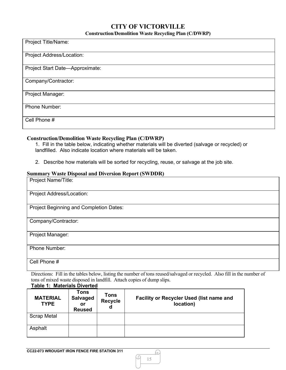# **CITY OF VICTORVILLE Construction/Demolition Waste Recycling Plan (C/DWRP)**

| Project Title/Name:             |
|---------------------------------|
|                                 |
|                                 |
|                                 |
| Project Address/Location:       |
|                                 |
|                                 |
|                                 |
| Project Start Date-Approximate: |
|                                 |
|                                 |
| Company/Contractor:             |
|                                 |
|                                 |
|                                 |
| Project Manager:                |
|                                 |
|                                 |
| Phone Number:                   |
|                                 |
|                                 |
|                                 |
| Cell Phone #                    |
|                                 |
|                                 |
|                                 |

# **Construction/Demolition Waste Recycling Plan (C/DWRP)**

1. Fill in the table below, indicating whether materials will be diverted (salvage or recycled) or landfilled. Also indicate location where materials will be taken.

2. Describe how materials will be sorted for recycling, reuse, or salvage at the job site.

#### **Summary Waste Disposal and Diversion Report (SWDDR)**

| Project Name/Title:                     |
|-----------------------------------------|
| Project Address/Location:               |
| Project Beginning and Completion Dates: |
| Company/Contractor:                     |
| Project Manager:                        |
| <b>Phone Number:</b>                    |
| Cell Phone #                            |

Directions: Fill in the tables below, listing the number of tons reused/salvaged or recycled. Also fill in the number of tons of mixed waste disposed in landfill. Attach copies of dump slips.

| <b>Table 1: Materials Diverted</b> |                                                       |                                    |                                                       |
|------------------------------------|-------------------------------------------------------|------------------------------------|-------------------------------------------------------|
| <b>MATERIAL</b><br><b>TYPE</b>     | <b>Tons</b><br><b>Salvaged</b><br>or<br><b>Reused</b> | <b>Tons</b><br><b>Recycle</b><br>d | Facility or Recycler Used (list name and<br>location) |
| <b>Scrap Metal</b>                 |                                                       |                                    |                                                       |
| Asphalt                            |                                                       |                                    |                                                       |

15

.C

h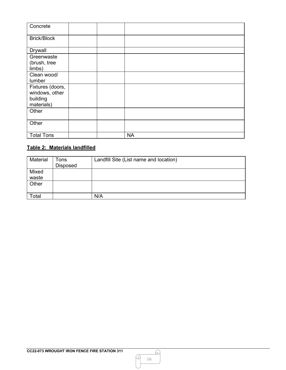| Concrete               |           |
|------------------------|-----------|
| <b>Brick/Block</b>     |           |
| <b>Drywall</b>         |           |
| Greenwaste             |           |
| (brush, tree<br>limbs) |           |
| Clean wood/            |           |
| lumber                 |           |
| Fixtures (doors,       |           |
| windows, other         |           |
| building<br>materials) |           |
| Other                  |           |
|                        |           |
| Other                  |           |
| <b>Total Tons</b>      | <b>NA</b> |

# **Table 2: Materials landfilled**

| Material       | Tons<br><b>Disposed</b> | Landfill Site (List name and location) |
|----------------|-------------------------|----------------------------------------|
| Mixed<br>waste |                         |                                        |
| Other          |                         |                                        |
| Total          |                         | N/A                                    |

M

 $\Omega$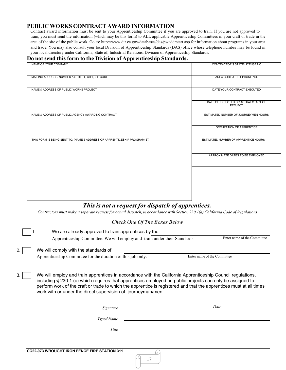#### **PUBLIC WORKS CONTRACT AWARD INFORMATION**

Contract award information must be sent to your Apprenticeship Committee if you are approved to train. If you are not approved to train, you must send the information (which may be this form) to ALL applicable Apprenticeship Committees in your craft or trade in the area of the site of the public work. Go to[: http://www.dir.ca.gov/databases/das/pwaddrstart.asp](http://www.dir.ca.gov/databases/das/pwaddrstart.asp) for information about programs in your area and trade. You may also consult your local Division of Apprenticeship Standards (DAS) office whose telephone number may be found in your local directory under California, State of, Industrial Relations, Division of Apprenticeship Standards.

#### **Do not send this form to the Division of Apprenticeship Standards.**

| NAME OF YOUR COMPANY                                                      | CONTRACTOR'S STATE LICENSE NO                         |
|---------------------------------------------------------------------------|-------------------------------------------------------|
| MAILING ADDRESS- NUMBER & STREET, CITY, ZIP CODE                          | AREA CODE & TELEPHONE NO.                             |
| NAME & ADDRESS OF PUBLIC WORKS PROJECT                                    | DATE YOUR CONTRACT EXECUTED                           |
|                                                                           | DATE OF EXPECTED OR ACTUAL START OF<br><b>PROJECT</b> |
| NAME & ADDRESS OF PUBLIC AGENCY AWARDING CONTRACT                         | ESTIMATED NUMBER OF JOURNEYMEN HOURS                  |
|                                                                           | OCCUPATION OF APPRENTICE                              |
| THIS FORM IS BEING SENT TO: (NAME & ADDRESS OF APPRENTICESHIP PROGRAM(S)) | ESTIMATED NUMBER OF APPRENTICE HOURS                  |
|                                                                           | APPROXIMATE DATES TO BE EMPLOYED                      |
|                                                                           |                                                       |
|                                                                           |                                                       |
|                                                                           |                                                       |
| This is not a request for dispatch of apprentices.                        |                                                       |

#### Contractors must make a separate request for actual dispatch, in accordance with Section 230.1(a) California Code of Regulations

|                                                                                                                                                                                                                                                                                                                                                                                                                      | Check One Of The Boxes Below |                             |
|----------------------------------------------------------------------------------------------------------------------------------------------------------------------------------------------------------------------------------------------------------------------------------------------------------------------------------------------------------------------------------------------------------------------|------------------------------|-----------------------------|
| We are already approved to train apprentices by the                                                                                                                                                                                                                                                                                                                                                                  |                              |                             |
| Apprenticeship Committee. We will employ and train under their Standards.                                                                                                                                                                                                                                                                                                                                            |                              | Enter name of the Committee |
| We will comply with the standards of                                                                                                                                                                                                                                                                                                                                                                                 |                              |                             |
| Apprenticeship Committee for the duration of this job only.                                                                                                                                                                                                                                                                                                                                                          |                              | Enter name of the Committee |
| We will employ and train apprentices in accordance with the California Apprenticeship Council regulations,<br>3.<br>including § 230.1 (c) which requires that apprentices employed on public projects can only be assigned to<br>perform work of the craft or trade to which the apprentice is registered and that the apprentices must at all times<br>work with or under the direct supervision of journeyman/men. |                              |                             |
| Signature                                                                                                                                                                                                                                                                                                                                                                                                            |                              | Date                        |
| Typed Name                                                                                                                                                                                                                                                                                                                                                                                                           |                              |                             |
| Title                                                                                                                                                                                                                                                                                                                                                                                                                |                              |                             |
|                                                                                                                                                                                                                                                                                                                                                                                                                      |                              |                             |
| <b>CC22-073 WROUGHT IRON FENCE FIRE STATION 311</b>                                                                                                                                                                                                                                                                                                                                                                  | u                            |                             |

17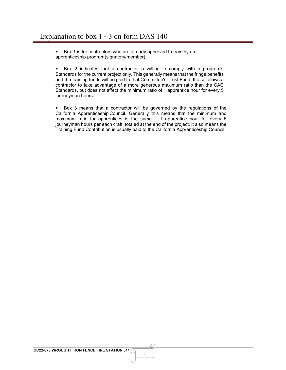• Box 1 is for contractors who are already approved to train by an apprenticeship program(signatory/member).

• Box 2 indicates that a contractor is willing to comply with a program's Standards for the current project only. This generally means that the fringe benefits and the training funds will be paid to that Committee's Trust Fund. It also allows a contractor to take advantage of a more generous maximum ratio than the CAC Standards, but does not affect the minimum ratio of 1 apprentice hour for every 5 journeyman hours.

• Box 3 means that a contractor will be governed by the regulations of the California Apprenticeship Council. Generally this means that the minimum and maximum ratio for apprentices is the same – 1 apprentice hour for every 5 journeyman hours per each craft, totaled at the end of the project. It also means the Training Fund Contribution is usually paid to the California Apprenticeship Council.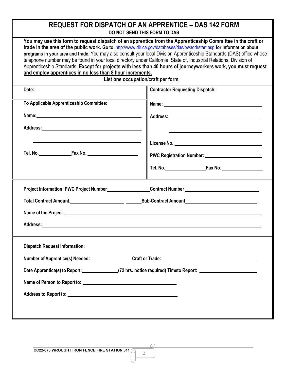| <b>REQUEST FOR DISPATCH OF AN APPRENTICE - DAS 142 FORM</b><br>DO NOT SEND THIS FORM TO DAS |                                                                                                                                                                                                                                                                                                                                                                                                                                                                                                                                                                                                                                                |  |  |
|---------------------------------------------------------------------------------------------|------------------------------------------------------------------------------------------------------------------------------------------------------------------------------------------------------------------------------------------------------------------------------------------------------------------------------------------------------------------------------------------------------------------------------------------------------------------------------------------------------------------------------------------------------------------------------------------------------------------------------------------------|--|--|
| and employ apprentices in no less than 8 hour increments.                                   | You may use this form to request dispatch of an apprentice from the Apprenticeship Committee in the craft or<br>trade in the area of the public work. Go to: http://www.dir.ca.gov/databases/das/pwaddrstart.asp for information about<br>programs in your area and trade. You may also consult your local Division Apprenticeship Standards (DAS) office whose<br>telephone number may be found in your local directory under California, State of, Industrial Relations, Division of<br>Apprenticeship Standards. Except for projects with less than 40 hours of journeyworkers work, you must request<br>List one occupation/craft per form |  |  |
| Date:                                                                                       | <b>Contractor Requesting Dispatch:</b>                                                                                                                                                                                                                                                                                                                                                                                                                                                                                                                                                                                                         |  |  |
| To Applicable Apprenticeship Committee:                                                     | Name: Name:                                                                                                                                                                                                                                                                                                                                                                                                                                                                                                                                                                                                                                    |  |  |
|                                                                                             |                                                                                                                                                                                                                                                                                                                                                                                                                                                                                                                                                                                                                                                |  |  |
|                                                                                             |                                                                                                                                                                                                                                                                                                                                                                                                                                                                                                                                                                                                                                                |  |  |
|                                                                                             |                                                                                                                                                                                                                                                                                                                                                                                                                                                                                                                                                                                                                                                |  |  |
|                                                                                             | Project Information: PWC Project Number__________________Contract Number __________________________                                                                                                                                                                                                                                                                                                                                                                                                                                                                                                                                            |  |  |
|                                                                                             |                                                                                                                                                                                                                                                                                                                                                                                                                                                                                                                                                                                                                                                |  |  |
|                                                                                             |                                                                                                                                                                                                                                                                                                                                                                                                                                                                                                                                                                                                                                                |  |  |
| Address:                                                                                    |                                                                                                                                                                                                                                                                                                                                                                                                                                                                                                                                                                                                                                                |  |  |
| <b>Dispatch Request Information:</b>                                                        |                                                                                                                                                                                                                                                                                                                                                                                                                                                                                                                                                                                                                                                |  |  |
|                                                                                             | Number of Apprentice(s) Needed: Craft or Trade: Craft or Trade:                                                                                                                                                                                                                                                                                                                                                                                                                                                                                                                                                                                |  |  |
|                                                                                             | Date Apprentice(s) to Report: (72 hrs. notice required) Timeto Report:                                                                                                                                                                                                                                                                                                                                                                                                                                                                                                                                                                         |  |  |
|                                                                                             |                                                                                                                                                                                                                                                                                                                                                                                                                                                                                                                                                                                                                                                |  |  |
|                                                                                             |                                                                                                                                                                                                                                                                                                                                                                                                                                                                                                                                                                                                                                                |  |  |
|                                                                                             |                                                                                                                                                                                                                                                                                                                                                                                                                                                                                                                                                                                                                                                |  |  |